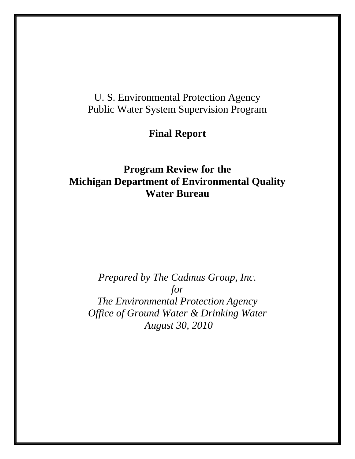# U. S. Environmental Protection Agency Public Water System Supervision Program

# **Final Report**

# **Program Review for the Michigan Department of Environmental Quality Water Bureau**

*Prepared by The Cadmus Group, Inc. for The Environmental Protection Agency Office of Ground Water & Drinking Water August 30, 2010*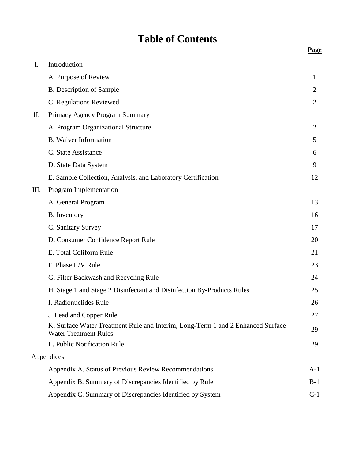# **Table of Contents**

| I. | Introduction                                                                                                    |                |
|----|-----------------------------------------------------------------------------------------------------------------|----------------|
|    | A. Purpose of Review                                                                                            | 1              |
|    | <b>B.</b> Description of Sample                                                                                 | 2              |
|    | C. Regulations Reviewed                                                                                         | 2              |
| П. | Primacy Agency Program Summary                                                                                  |                |
|    | A. Program Organizational Structure                                                                             | $\overline{2}$ |
|    | <b>B.</b> Waiver Information                                                                                    | 5              |
|    | C. State Assistance                                                                                             | 6              |
|    | D. State Data System                                                                                            | 9              |
|    | E. Sample Collection, Analysis, and Laboratory Certification                                                    | 12             |
| Ш. | Program Implementation                                                                                          |                |
|    | A. General Program                                                                                              | 13             |
|    | <b>B.</b> Inventory                                                                                             | 16             |
|    | C. Sanitary Survey                                                                                              | 17             |
|    | D. Consumer Confidence Report Rule                                                                              | 20             |
|    | E. Total Coliform Rule                                                                                          | 21             |
|    | F. Phase II/V Rule                                                                                              | 23             |
|    | G. Filter Backwash and Recycling Rule                                                                           | 24             |
|    | H. Stage 1 and Stage 2 Disinfectant and Disinfection By-Products Rules                                          | 25             |
|    | I. Radionuclides Rule                                                                                           | 26             |
|    | J. Lead and Copper Rule                                                                                         | 27             |
|    | K. Surface Water Treatment Rule and Interim, Long-Term 1 and 2 Enhanced Surface<br><b>Water Treatment Rules</b> | 29             |
|    | L. Public Notification Rule                                                                                     | 29             |
|    | Appendices                                                                                                      |                |
|    | Appendix A. Status of Previous Review Recommendations                                                           | $A-1$          |
|    | Appendix B. Summary of Discrepancies Identified by Rule                                                         | $B-1$          |
|    | Appendix C. Summary of Discrepancies Identified by System                                                       | $C-1$          |

**Page**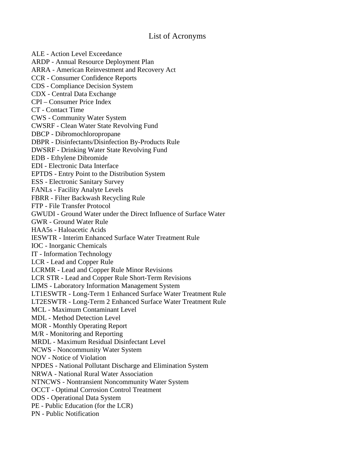# List of Acronyms

ALE - Action Level Exceedance ARDP - Annual Resource Deployment Plan ARRA - American Reinvestment and Recovery Act CCR - Consumer Confidence Reports CDS - Compliance Decision System CDX - Central Data Exchange CPI – Consumer Price Index CT - Contact Time CWS - Community Water System CWSRF - Clean Water State Revolving Fund DBCP - Dibromochloropropane DBPR - Disinfectants/Disinfection By-Products Rule DWSRF - Drinking Water State Revolving Fund EDB - Ethylene Dibromide EDI - Electronic Data Interface EPTDS - Entry Point to the Distribution System ESS - Electronic Sanitary Survey FANLs - Facility Analyte Levels FBRR - Filter Backwash Recycling Rule FTP - File Transfer Protocol GWUDI - Ground Water under the Direct Influence of Surface Water GWR - Ground Water Rule HAA5s - Haloacetic Acids IESWTR - Interim Enhanced Surface Water Treatment Rule IOC - Inorganic Chemicals IT - Information Technology LCR - Lead and Copper Rule LCRMR - Lead and Copper Rule Minor Revisions LCR STR - Lead and Copper Rule Short-Term Revisions LIMS - Laboratory Information Management System LT1ESWTR - Long-Term 1 Enhanced Surface Water Treatment Rule LT2ESWTR - Long-Term 2 Enhanced Surface Water Treatment Rule MCL - Maximum Contaminant Level MDL - Method Detection Level MOR - Monthly Operating Report M/R - Monitoring and Reporting MRDL - Maximum Residual Disinfectant Level NCWS - Noncommunity Water System NOV - Notice of Violation NPDES - National Pollutant Discharge and Elimination System NRWA - National Rural Water Association NTNCWS - Nontransient Noncommunity Water System OCCT - Optimal Corrosion Control Treatment ODS - Operational Data System PE - Public Education (for the LCR) PN - Public Notification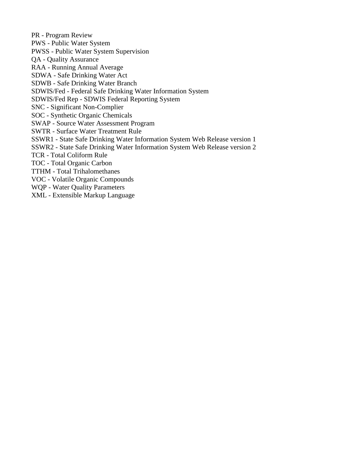PR - Program Review PWS - Public Water System PWSS - Public Water System Supervision QA - Quality Assurance RAA - Running Annual Average SDWA - Safe Drinking Water Act SDWB - Safe Drinking Water Branch SDWIS/Fed - Federal Safe Drinking Water Information System SDWIS/Fed Rep - SDWIS Federal Reporting System SNC - Significant Non-Complier SOC - Synthetic Organic Chemicals SWAP - Source Water Assessment Program SWTR - Surface Water Treatment Rule SSWR1 - State Safe Drinking Water Information System Web Release version 1 SSWR2 - State Safe Drinking Water Information System Web Release version 2 TCR - Total Coliform Rule TOC - Total Organic Carbon TTHM - Total Trihalomethanes VOC - Volatile Organic Compounds WQP - Water Quality Parameters XML - Extensible Markup Language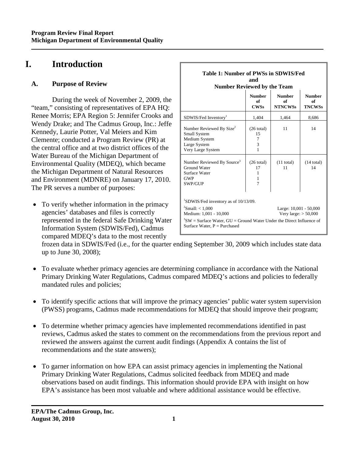# **I. Introduction**

# **A. Purpose of Review**

During the week of November 2, 2009, the "team," consisting of representatives of EPA HQ: Renee Morris; EPA Region 5: Jennifer Crooks and Wendy Drake; and The Cadmus Group, Inc.: Jeffe Kennedy, Laurie Potter, Val Meiers and Kim Clemente; conducted a Program Review (PR) at the central office and at two district offices of the Water Bureau of the Michigan Department of Environmental Quality (MDEQ), which became the Michigan Department of Natural Resources and Environment (MDNRE) on January 17, 2010. The PR serves a number of purposes:

• To verify whether information in the primacy agencies' databases and files is correctly represented in the federal Safe Drinking Water Information System (SDWIS/Fed), Cadmus compared MDEQ's data to the most recently

| Table 1: Number of PWSs in SDWIS/Fed<br>and<br><b>Number Reviewed by the Team</b>                                                                                                                                                                                 |                                           |                                       |                                      |  |  |
|-------------------------------------------------------------------------------------------------------------------------------------------------------------------------------------------------------------------------------------------------------------------|-------------------------------------------|---------------------------------------|--------------------------------------|--|--|
|                                                                                                                                                                                                                                                                   | <b>Number</b><br>of<br><b>CWSs</b>        | <b>Number</b><br>of<br><b>NTNCWSs</b> | <b>Number</b><br>of<br><b>TNCWSs</b> |  |  |
| SDWIS/Fed Inventory <sup>1</sup>                                                                                                                                                                                                                                  | 1,404                                     | 1,464                                 | 8,686                                |  |  |
| Number Reviewed By Size <sup>2</sup><br>Small System<br>Medium System<br>Large System<br>Very Large System                                                                                                                                                        | $(26 \text{ total})$<br>15<br>7<br>3<br>1 | 11                                    | 14                                   |  |  |
| Number Reviewed By Source <sup>3</sup><br>Ground Water<br>Surface Water<br><b>GWP</b><br>SWP/GUP                                                                                                                                                                  | $(26 \text{ total})$<br>17<br>1<br>1<br>7 | $(11$ total)<br>11                    | $(14$ total)<br>14                   |  |  |
| <sup>1</sup> SDWIS/Fed inventory as of 10/13/09.<br>$2$ Small: < 1.000<br>Large: 10,001 - 50,000<br>Medium: 1,001 - 10,000<br>Very large: $> 50,000$<br>$3SW = Surface Water$ , GU = Ground Water Under the Direct Influence of<br>Surface Water, $P = Purchased$ |                                           |                                       |                                      |  |  |

frozen data in SDWIS/Fed (i.e., for the quarter ending September 30, 2009 which includes state data up to June 30, 2008);

- To evaluate whether primacy agencies are determining compliance in accordance with the National Primary Drinking Water Regulations, Cadmus compared MDEQ's actions and policies to federally mandated rules and policies;
- To identify specific actions that will improve the primacy agencies' public water system supervision (PWSS) programs, Cadmus made recommendations for MDEQ that should improve their program;
- To determine whether primacy agencies have implemented recommendations identified in past reviews, Cadmus asked the states to comment on the recommendations from the previous report and reviewed the answers against the current audit findings (Appendix A contains the list of recommendations and the state answers);
- To garner information on how EPA can assist primacy agencies in implementing the National Primary Drinking Water Regulations, Cadmus solicited feedback from MDEQ and made observations based on audit findings. This information should provide EPA with insight on how EPA's assistance has been most valuable and where additional assistance would be effective.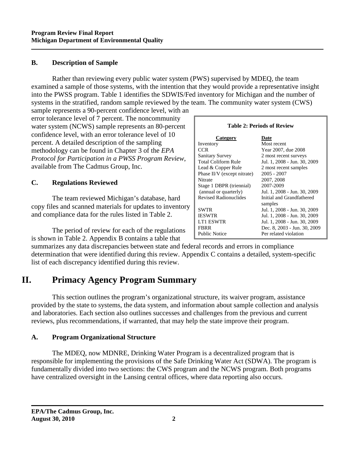#### **B. Description of Sample**

Rather than reviewing every public water system (PWS) supervised by MDEQ, the team examined a sample of those systems, with the intention that they would provide a representative insight into the PWSS program. Table 1 identifies the SDWIS/Fed inventory for Michigan and the number of systems in the stratified, random sample reviewed by the team. The community water system (CWS)

sample represents a 90-percent confidence level, with an error tolerance level of 7 percent. The noncommunity water system (NCWS) sample represents an 80-percent confidence level, with an error tolerance level of 10 percent. A detailed description of the sampling methodology can be found in Chapter 3 of the *EPA Protocol for Participation in a PWSS Program Review*, available from The Cadmus Group, Inc.

# **C. Regulations Reviewed**

The team reviewed Michigan's database, hard copy files and scanned materials for updates to inventory and compliance data for the rules listed in Table 2.

The period of review for each of the regulations is shown in Table 2. Appendix B contains a table that

| <b>Table 2: Periods of Review</b> |                              |  |  |  |
|-----------------------------------|------------------------------|--|--|--|
| Category                          | Date                         |  |  |  |
| Inventory                         | Most recent                  |  |  |  |
| CCR.                              | Year 2007, due 2008          |  |  |  |
| <b>Sanitary Survey</b>            | 2 most recent surveys        |  |  |  |
| <b>Total Coliform Rule</b>        | Jul. 1, 2008 - Jun. 30, 2009 |  |  |  |
| Lead & Copper Rule                | 2 most recent samples        |  |  |  |
| Phase II/V (except nitrate)       | 2005 - 2007                  |  |  |  |
| Nitrate                           | 2007, 2008                   |  |  |  |
| Stage 1 DBPR (triennial)          | 2007-2009                    |  |  |  |
| (annual or quarterly)             | Jul. 1, 2008 - Jun. 30, 2009 |  |  |  |
| <b>Revised Radionuclides</b>      | Initial and Grandfathered    |  |  |  |
|                                   | samples                      |  |  |  |
| <b>SWTR</b>                       | Jul. 1, 2008 - Jun. 30, 2009 |  |  |  |
| <b>IESWTR</b>                     | Jul. 1, 2008 - Jun. 30, 2009 |  |  |  |
| <b>LT1 ESWTR</b>                  | Jul. 1, 2008 - Jun. 30, 2009 |  |  |  |
| <b>FBRR</b>                       | Dec. 8, 2003 - Jun. 30, 2009 |  |  |  |
| <b>Public Notice</b>              | Per related violation        |  |  |  |

summarizes any data discrepancies between state and federal records and errors in compliance determination that were identified during this review. Appendix C contains a detailed, system-specific list of each discrepancy identified during this review.

# **II. Primacy Agency Program Summary**

This section outlines the program's organizational structure, its waiver program, assistance provided by the state to systems, the data system, and information about sample collection and analysis and laboratories. Each section also outlines successes and challenges from the previous and current reviews, plus recommendations, if warranted, that may help the state improve their program.

#### **A. Program Organizational Structure**

The MDEQ, now MDNRE, Drinking Water Program is a decentralized program that is responsible for implementing the provisions of the Safe Drinking Water Act (SDWA). The program is fundamentally divided into two sections: the CWS program and the NCWS program. Both programs have centralized oversight in the Lansing central offices, where data reporting also occurs.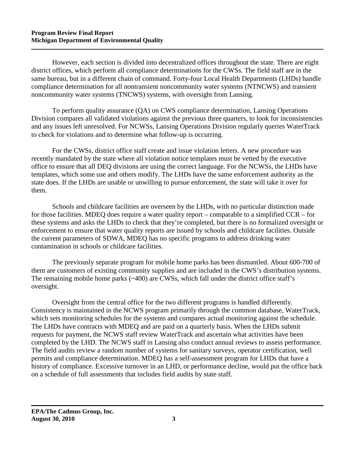However, each section is divided into decentralized offices throughout the state. There are eight district offices, which perform all compliance determinations for the CWSs. The field staff are in the same bureau, but in a different chain of command. Forty-four Local Health Departments (LHDs) handle compliance determination for all nontransient noncommunity water systems (NTNCWS) and transient noncommunity water systems (TNCWS) systems, with oversight from Lansing.

To perform quality assurance (QA) on CWS compliance determination, Lansing Operations Division compares all validated violations against the previous three quarters, to look for inconsistencies and any issues left unresolved. For NCWSs, Lansing Operations Division regularly queries WaterTrack to check for violations and to determine what follow-up is occurring.

For the CWSs, district office staff create and issue violation letters. A new procedure was recently mandated by the state where all violation notice templates must be vetted by the executive office to ensure that all DEQ divisions are using the correct language. For the NCWSs, the LHDs have templates, which some use and others modify. The LHDs have the same enforcement authority as the state does. If the LHDs are unable or unwilling to pursue enforcement, the state will take it over for them.

Schools and childcare facilities are overseen by the LHDs, with no particular distinction made for those facilities. MDEQ does require a water quality report – comparable to a simplified CCR – for these systems and asks the LHDs to check that they're completed, but there is no formalized oversight or enforcement to ensure that water quality reports are issued by schools and childcare facilities. Outside the current parameters of SDWA, MDEQ has no specific programs to address drinking water contamination in schools or childcare facilities.

The previously separate program for mobile home parks has been dismantled. About 600-700 of them are customers of existing community supplies and are included in the CWS's distribution systems. The remaining mobile home parks (~400) are CWSs, which fall under the district office staff's oversight.

Oversight from the central office for the two different programs is handled differently. Consistency is maintained in the NCWS program primarily through the common database, WaterTrack, which sets monitoring schedules for the systems and compares actual monitoring against the schedule. The LHDs have contracts with MDEQ and are paid on a quarterly basis. When the LHDs submit requests for payment, the NCWS staff review WaterTrack and ascertain what activities have been completed by the LHD. The NCWS staff in Lansing also conduct annual reviews to assess performance. The field audits review a random number of systems for sanitary surveys, operator certification, well permits and compliance determination. MDEQ has a self-assessment program for LHDs that have a history of compliance. Excessive turnover in an LHD, or performance decline, would put the office back on a schedule of full assessments that includes field audits by state staff.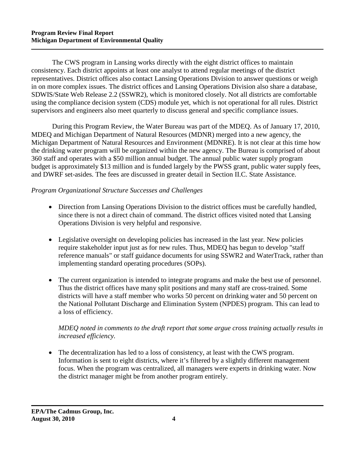The CWS program in Lansing works directly with the eight district offices to maintain consistency. Each district appoints at least one analyst to attend regular meetings of the district representatives. District offices also contact Lansing Operations Division to answer questions or weigh in on more complex issues. The district offices and Lansing Operations Division also share a database, SDWIS/State Web Release 2.2 (SSWR2), which is monitored closely. Not all districts are comfortable using the compliance decision system (CDS) module yet, which is not operational for all rules. District supervisors and engineers also meet quarterly to discuss general and specific compliance issues.

During this Program Review, the Water Bureau was part of the MDEQ. As of January 17, 2010, MDEQ and Michigan Department of Natural Resources (MDNR) merged into a new agency, the Michigan Department of Natural Resources and Environment (MDNRE). It is not clear at this time how the drinking water program will be organized within the new agency. The Bureau is comprised of about 360 staff and operates with a \$50 million annual budget. The annual public water supply program budget is approximately \$13 million and is funded largely by the PWSS grant, public water supply fees, and DWRF set-asides. The fees are discussed in greater detail in Section II.C. State Assistance.

#### *Program Organizational Structure Successes and Challenges*

- Direction from Lansing Operations Division to the district offices must be carefully handled, since there is not a direct chain of command. The district offices visited noted that Lansing Operations Division is very helpful and responsive.
- Legislative oversight on developing policies has increased in the last year. New policies require stakeholder input just as for new rules. Thus, MDEQ has begun to develop "staff reference manuals" or staff guidance documents for using SSWR2 and WaterTrack, rather than implementing standard operating procedures (SOPs).
- The current organization is intended to integrate programs and make the best use of personnel. Thus the district offices have many split positions and many staff are cross-trained. Some districts will have a staff member who works 50 percent on drinking water and 50 percent on the National Pollutant Discharge and Elimination System (NPDES) program. This can lead to a loss of efficiency.

# *MDEQ noted in comments to the draft report that some argue cross training actually results in increased efficiency.*

• The decentralization has led to a loss of consistency, at least with the CWS program. Information is sent to eight districts, where it's filtered by a slightly different management focus. When the program was centralized, all managers were experts in drinking water. Now the district manager might be from another program entirely.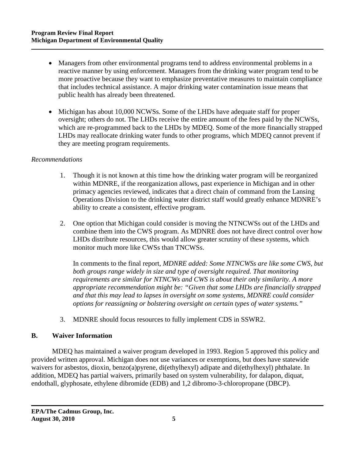- Managers from other environmental programs tend to address environmental problems in a reactive manner by using enforcement. Managers from the drinking water program tend to be more proactive because they want to emphasize preventative measures to maintain compliance that includes technical assistance. A major drinking water contamination issue means that public health has already been threatened.
- Michigan has about 10,000 NCWSs. Some of the LHDs have adequate staff for proper oversight; others do not. The LHDs receive the entire amount of the fees paid by the NCWSs, which are re-programmed back to the LHDs by MDEQ. Some of the more financially strapped LHDs may reallocate drinking water funds to other programs, which MDEQ cannot prevent if they are meeting program requirements.

# *Recommendations*

- 1. Though it is not known at this time how the drinking water program will be reorganized within MDNRE, if the reorganization allows, past experience in Michigan and in other primacy agencies reviewed, indicates that a direct chain of command from the Lansing Operations Division to the drinking water district staff would greatly enhance MDNRE's ability to create a consistent, effective program.
- 2. One option that Michigan could consider is moving the NTNCWSs out of the LHDs and combine them into the CWS program. As MDNRE does not have direct control over how LHDs distribute resources, this would allow greater scrutiny of these systems, which monitor much more like CWSs than TNCWSs.

In comments to the final report, *MDNRE added: Some NTNCWSs are like some CWS, but both groups range widely in size and type of oversight required. That monitoring requirements are similar for NTNCWs and CWS is about their only similarity. A more appropriate recommendation might be: "Given that some LHDs are financially strapped and that this may lead to lapses in oversight on some systems, MDNRE could consider options for reassigning or bolstering oversight on certain types of water systems."*

3. MDNRE should focus resources to fully implement CDS in SSWR2.

#### **B. Waiver Information**

MDEQ has maintained a waiver program developed in 1993. Region 5 approved this policy and provided written approval. Michigan does not use variances or exemptions, but does have statewide waivers for asbestos, dioxin, benzo(a)pyrene, di(ethylhexyl) adipate and di(ethylhexyl) phthalate. In addition, MDEQ has partial waivers, primarily based on system vulnerability, for dalapon, diquat, endothall, glyphosate, ethylene dibromide (EDB) and 1,2 dibromo-3-chloropropane (DBCP).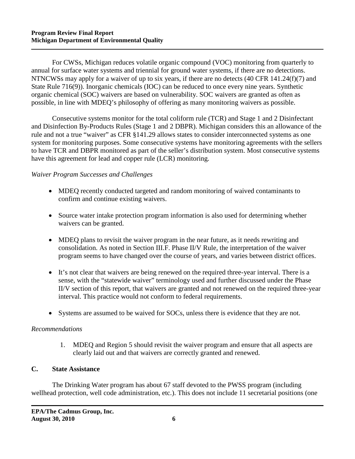For CWSs, Michigan reduces volatile organic compound (VOC) monitoring from quarterly to annual for surface water systems and triennial for ground water systems, if there are no detections. NTNCWSs may apply for a waiver of up to six years, if there are no detects (40 CFR 141.24(f)(7) and State Rule 716(9)). Inorganic chemicals (IOC) can be reduced to once every nine years. Synthetic organic chemical (SOC) waivers are based on vulnerability. SOC waivers are granted as often as possible, in line with MDEQ's philosophy of offering as many monitoring waivers as possible.

Consecutive systems monitor for the total coliform rule (TCR) and Stage 1 and 2 Disinfectant and Disinfection By-Products Rules (Stage 1 and 2 DBPR). Michigan considers this an allowance of the rule and not a true "waiver" as CFR §141.29 allows states to consider interconnected systems as one system for monitoring purposes. Some consecutive systems have monitoring agreements with the sellers to have TCR and DBPR monitored as part of the seller's distribution system. Most consecutive systems have this agreement for lead and copper rule (LCR) monitoring.

#### *Waiver Program Successes and Challenges*

- MDEQ recently conducted targeted and random monitoring of waived contaminants to confirm and continue existing waivers.
- Source water intake protection program information is also used for determining whether waivers can be granted.
- MDEO plans to revisit the waiver program in the near future, as it needs rewriting and consolidation. As noted in Section III.F. Phase II/V Rule, the interpretation of the waiver program seems to have changed over the course of years, and varies between district offices.
- It's not clear that waivers are being renewed on the required three-year interval. There is a sense, with the "statewide waiver" terminology used and further discussed under the Phase II/V section of this report, that waivers are granted and not renewed on the required three-year interval. This practice would not conform to federal requirements.
- Systems are assumed to be waived for SOCs, unless there is evidence that they are not.

#### *Recommendations*

1. MDEQ and Region 5 should revisit the waiver program and ensure that all aspects are clearly laid out and that waivers are correctly granted and renewed.

# **C. State Assistance**

The Drinking Water program has about 67 staff devoted to the PWSS program (including wellhead protection, well code administration, etc.). This does not include 11 secretarial positions (one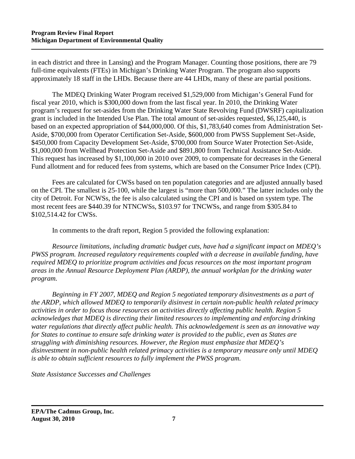in each district and three in Lansing) and the Program Manager. Counting those positions, there are 79 full-time equivalents (FTEs) in Michigan's Drinking Water Program. The program also supports approximately 18 staff in the LHDs. Because there are 44 LHDs, many of these are partial positions.

The MDEQ Drinking Water Program received \$1,529,000 from Michigan's General Fund for fiscal year 2010, which is \$300,000 down from the last fiscal year. In 2010, the Drinking Water program's request for set-asides from the Drinking Water State Revolving Fund (DWSRF) capitalization grant is included in the Intended Use Plan. The total amount of set-asides requested, \$6,125,440, is based on an expected appropriation of \$44,000,000. Of this, \$1,783,640 comes from Administration Set-Aside, \$700,000 from Operator Certification Set-Aside, \$600,000 from PWSS Supplement Set-Aside, \$450,000 from Capacity Development Set-Aside, \$700,000 from Source Water Protection Set-Aside, \$1,000,000 from Wellhead Protection Set-Aside and \$891,800 from Technical Assistance Set-Aside. This request has increased by \$1,100,000 in 2010 over 2009, to compensate for decreases in the General Fund allotment and for reduced fees from systems, which are based on the Consumer Price Index (CPI).

Fees are calculated for CWSs based on ten population categories and are adjusted annually based on the CPI. The smallest is 25-100, while the largest is "more than 500,000." The latter includes only the city of Detroit. For NCWSs, the fee is also calculated using the CPI and is based on system type. The most recent fees are \$440.39 for NTNCWSs, \$103.97 for TNCWSs, and range from \$305.84 to \$102,514.42 for CWSs.

In comments to the draft report, Region 5 provided the following explanation:

*Resource limitations, including dramatic budget cuts, have had a significant impact on MDEQ's PWSS program. Increased regulatory requirements coupled with a decrease in available funding, have required MDEQ to prioritize program activities and focus resources on the most important program areas in the Annual Resource Deployment Plan (ARDP), the annual workplan for the drinking water program.* 

*Beginning in FY 2007, MDEQ and Region 5 negotiated temporary disinvestments as a part of the ARDP, which allowed MDEQ to temporarily disinvest in certain non-public health related primacy activities in order to focus those resources on activities directly affecting public health. Region 5 acknowledges that MDEQ is directing their limited resources to implementing and enforcing drinking water regulations that directly affect public health. This acknowledgement is seen as an innovative way for States to continue to ensure safe drinking water is provided to the public, even as States are struggling with diminishing resources. However, the Region must emphasize that MDEQ's disinvestment in non-public health related primacy activities is a temporary measure only until MDEQ is able to obtain sufficient resources to fully implement the PWSS program.* 

*State Assistance Successes and Challenges*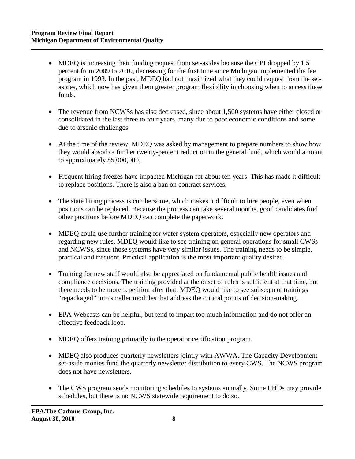- MDEQ is increasing their funding request from set-asides because the CPI dropped by 1.5 percent from 2009 to 2010, decreasing for the first time since Michigan implemented the fee program in 1993. In the past, MDEQ had not maximized what they could request from the setasides, which now has given them greater program flexibility in choosing when to access these funds.
- The revenue from NCWSs has also decreased, since about 1,500 systems have either closed or consolidated in the last three to four years, many due to poor economic conditions and some due to arsenic challenges.
- At the time of the review, MDEQ was asked by management to prepare numbers to show how they would absorb a further twenty-percent reduction in the general fund, which would amount to approximately \$5,000,000.
- Frequent hiring freezes have impacted Michigan for about ten years. This has made it difficult to replace positions. There is also a ban on contract services.
- The state hiring process is cumbersome, which makes it difficult to hire people, even when positions can be replaced. Because the process can take several months, good candidates find other positions before MDEQ can complete the paperwork.
- MDEO could use further training for water system operators, especially new operators and regarding new rules. MDEQ would like to see training on general operations for small CWSs and NCWSs, since those systems have very similar issues. The training needs to be simple, practical and frequent. Practical application is the most important quality desired.
- Training for new staff would also be appreciated on fundamental public health issues and compliance decisions. The training provided at the onset of rules is sufficient at that time, but there needs to be more repetition after that. MDEQ would like to see subsequent trainings "repackaged" into smaller modules that address the critical points of decision-making.
- EPA Webcasts can be helpful, but tend to impart too much information and do not offer an effective feedback loop.
- MDEQ offers training primarily in the operator certification program.
- MDEQ also produces quarterly newsletters jointly with AWWA. The Capacity Development set-aside monies fund the quarterly newsletter distribution to every CWS. The NCWS program does not have newsletters.
- The CWS program sends monitoring schedules to systems annually. Some LHDs may provide schedules, but there is no NCWS statewide requirement to do so.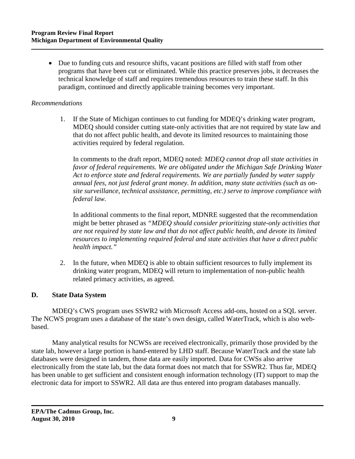• Due to funding cuts and resource shifts, vacant positions are filled with staff from other programs that have been cut or eliminated. While this practice preserves jobs, it decreases the technical knowledge of staff and requires tremendous resources to train these staff. In this paradigm, continued and directly applicable training becomes very important.

#### *Recommendations*

1. If the State of Michigan continues to cut funding for MDEQ's drinking water program, MDEQ should consider cutting state-only activities that are not required by state law and that do not affect public health, and devote its limited resources to maintaining those activities required by federal regulation.

In comments to the draft report, MDEQ noted: *MDEQ cannot drop all state activities in favor of federal requirements. We are obligated under the Michigan Safe Drinking Water Act to enforce state and federal requirements. We are partially funded by water supply annual fees, not just federal grant money. In addition, many state activities (such as onsite surveillance, technical assistance, permitting, etc.) serve to improve compliance with federal law.* 

In additional comments to the final report, MDNRE suggested that the recommendation might be better phrased as *"MDEQ should consider prioritizing state-only activities that are not required by state law and that do not affect public health, and devote its limited resources to implementing required federal and state activities that have a direct public health impact."* 

2. In the future, when MDEQ is able to obtain sufficient resources to fully implement its drinking water program, MDEQ will return to implementation of non-public health related primacy activities, as agreed.

#### **D. State Data System**

MDEQ's CWS program uses SSWR2 with Microsoft Access add-ons, hosted on a SQL server. The NCWS program uses a database of the state's own design, called WaterTrack, which is also webbased.

Many analytical results for NCWSs are received electronically, primarily those provided by the state lab, however a large portion is hand-entered by LHD staff. Because WaterTrack and the state lab databases were designed in tandem, those data are easily imported. Data for CWSs also arrive electronically from the state lab, but the data format does not match that for SSWR2. Thus far, MDEQ has been unable to get sufficient and consistent enough information technology (IT) support to map the electronic data for import to SSWR2. All data are thus entered into program databases manually.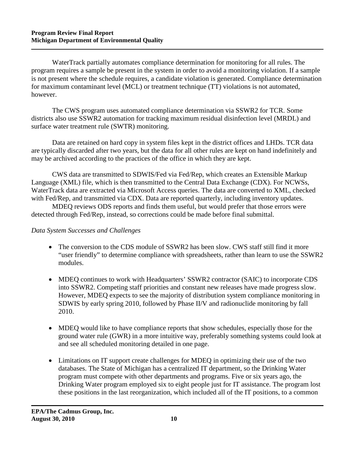WaterTrack partially automates compliance determination for monitoring for all rules. The program requires a sample be present in the system in order to avoid a monitoring violation. If a sample is not present where the schedule requires, a candidate violation is generated. Compliance determination for maximum contaminant level (MCL) or treatment technique (TT) violations is not automated, however.

The CWS program uses automated compliance determination via SSWR2 for TCR. Some districts also use SSWR2 automation for tracking maximum residual disinfection level (MRDL) and surface water treatment rule (SWTR) monitoring.

Data are retained on hard copy in system files kept in the district offices and LHDs. TCR data are typically discarded after two years, but the data for all other rules are kept on hand indefinitely and may be archived according to the practices of the office in which they are kept.

CWS data are transmitted to SDWIS/Fed via Fed/Rep, which creates an Extensible Markup Language (XML) file, which is then transmitted to the Central Data Exchange (CDX). For NCWSs, WaterTrack data are extracted via Microsoft Access queries. The data are converted to XML, checked with Fed/Rep, and transmitted via CDX. Data are reported quarterly, including inventory updates.

MDEQ reviews ODS reports and finds them useful, but would prefer that those errors were detected through Fed/Rep, instead, so corrections could be made before final submittal.

#### *Data System Successes and Challenges*

- The conversion to the CDS module of SSWR2 has been slow. CWS staff still find it more "user friendly" to determine compliance with spreadsheets, rather than learn to use the SSWR2 modules.
- MDEQ continues to work with Headquarters' SSWR2 contractor (SAIC) to incorporate CDS into SSWR2. Competing staff priorities and constant new releases have made progress slow. However, MDEQ expects to see the majority of distribution system compliance monitoring in SDWIS by early spring 2010, followed by Phase II/V and radionuclide monitoring by fall 2010.
- MDEQ would like to have compliance reports that show schedules, especially those for the ground water rule (GWR) in a more intuitive way, preferably something systems could look at and see all scheduled monitoring detailed in one page.
- Limitations on IT support create challenges for MDEQ in optimizing their use of the two databases. The State of Michigan has a centralized IT department, so the Drinking Water program must compete with other departments and programs. Five or six years ago, the Drinking Water program employed six to eight people just for IT assistance. The program lost these positions in the last reorganization, which included all of the IT positions, to a common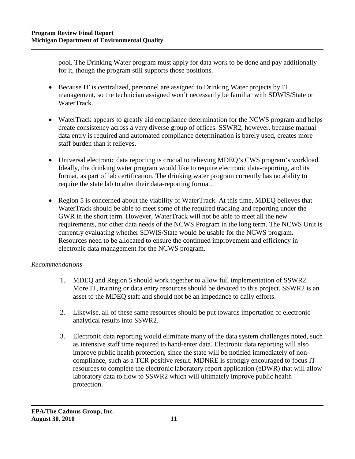pool. The Drinking Water program must apply for data work to be done and pay additionally for it, though the program still supports those positions.

- Because IT is centralized, personnel are assigned to Drinking Water projects by IT management, so the technician assigned won't necessarily be familiar with SDWIS/State or WaterTrack.
- WaterTrack appears to greatly aid compliance determination for the NCWS program and helps create consistency across a very diverse group of offices. SSWR2, however, because manual data entry is required and automated compliance determination is barely used, creates more staff burden than it relieves.
- Universal electronic data reporting is crucial to relieving MDEQ's CWS program's workload. Ideally, the drinking water program would like to require electronic data-reporting, and its format, as part of lab certification. The drinking water program currently has no ability to require the state lab to alter their data-reporting format.
- Region 5 is concerned about the viability of WaterTrack. At this time, MDEQ believes that WaterTrack should be able to meet some of the required tracking and reporting under the GWR in the short term. However, WaterTrack will not be able to meet all the new requirements, nor other data needs of the NCWS Program in the long term. The NCWS Unit is currently evaluating whether SDWIS/State would be usable for the NCWS program. Resources need to be allocated to ensure the continued improvement and efficiency in electronic data management for the NCWS program.

# *Recommendations*

- 1. MDEQ and Region 5 should work together to allow full implementation of SSWR2. More IT, training or data entry resources should be devoted to this project. SSWR2 is an asset to the MDEQ staff and should not be an impedance to daily efforts.
- 2. Likewise, all of these same resources should be put towards importation of electronic analytical results into SSWR2.
- 3. Electronic data reporting would eliminate many of the data system challenges noted, such as intensive staff time required to hand-enter data. Electronic data reporting will also improve public health protection, since the state will be notified immediately of noncompliance, such as a TCR positive result. MDNRE is strongly encouraged to focus IT resources to complete the electronic laboratory report application (eDWR) that will allow laboratory data to flow to SSWR2 which will ultimately improve public health protection.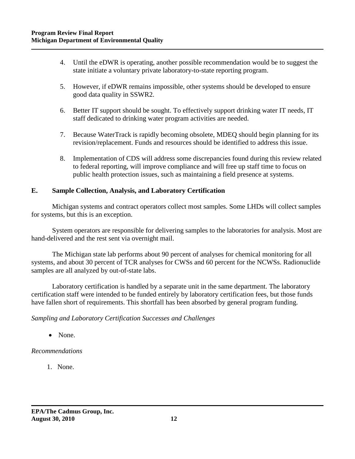- 4. Until the eDWR is operating, another possible recommendation would be to suggest the state initiate a voluntary private laboratory-to-state reporting program.
- 5. However, if eDWR remains impossible, other systems should be developed to ensure good data quality in SSWR2.
- 6. Better IT support should be sought. To effectively support drinking water IT needs, IT staff dedicated to drinking water program activities are needed.
- 7. Because WaterTrack is rapidly becoming obsolete, MDEQ should begin planning for its revision/replacement. Funds and resources should be identified to address this issue.
- 8. Implementation of CDS will address some discrepancies found during this review related to federal reporting, will improve compliance and will free up staff time to focus on public health protection issues, such as maintaining a field presence at systems.

# **E. Sample Collection, Analysis, and Laboratory Certification**

Michigan systems and contract operators collect most samples. Some LHDs will collect samples for systems, but this is an exception.

System operators are responsible for delivering samples to the laboratories for analysis. Most are hand-delivered and the rest sent via overnight mail.

The Michigan state lab performs about 90 percent of analyses for chemical monitoring for all systems, and about 30 percent of TCR analyses for CWSs and 60 percent for the NCWSs. Radionuclide samples are all analyzed by out-of-state labs.

Laboratory certification is handled by a separate unit in the same department. The laboratory certification staff were intended to be funded entirely by laboratory certification fees, but those funds have fallen short of requirements. This shortfall has been absorbed by general program funding.

#### *Sampling and Laboratory Certification Successes and Challenges*

• None.

# *Recommendations*

1. None.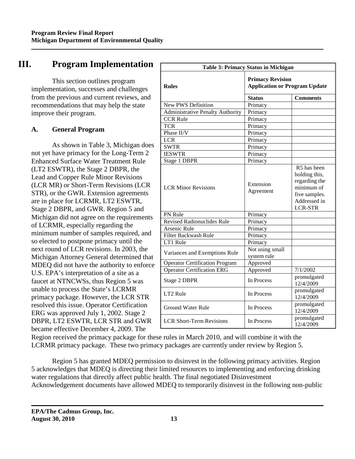# **III. Program Implementation**

This section outlines program implementation, successes and challenges from the previous and current reviews, and recommendations that may help the state improve their program.

# **A. General Program**

As shown in Table 3, Michigan does not yet have primacy for the Long-Term 2 Enhanced Surface Water Treatment Rule (LT2 ESWTR), the Stage 2 DBPR, the Lead and Copper Rule Minor Revisions (LCR MR) or Short-Term Revisions (LCR STR), or the GWR. Extension agreements are in place for LCRMR, LT2 ESWTR, Stage 2 DBPR, and GWR. Region 5 and Michigan did not agree on the requirements of LCRMR, especially regarding the minimum number of samples required, and so elected to postpone primacy until the next round of LCR revisions. In 2003, the Michigan Attorney General determined that MDEQ did not have the authority to enforce U.S. EPA's interpretation of a site as a faucet at NTNCWSs, thus Region 5 was unable to process the State's LCRMR primacy package. However, the LCR STR resolved this issue. Operator Certification ERG was approved July 1, 2002. Stage 2 DBPR, LT2 ESWTR, LCR STR and GWR became effective December 4, 2009. The

| <b>Table 3: Primacy Status in Michigan</b> |                                                                 |                                                                                                                |  |  |
|--------------------------------------------|-----------------------------------------------------------------|----------------------------------------------------------------------------------------------------------------|--|--|
| <b>Rules</b>                               | <b>Primacy Revision</b><br><b>Application or Program Update</b> |                                                                                                                |  |  |
|                                            | <b>Status</b>                                                   | <b>Comments</b>                                                                                                |  |  |
| <b>New PWS Definition</b>                  | Primacy                                                         |                                                                                                                |  |  |
| <b>Administrative Penalty Authority</b>    | Primacy                                                         |                                                                                                                |  |  |
| <b>CCR Rule</b>                            | Primacy                                                         |                                                                                                                |  |  |
| <b>TCR</b>                                 | Primacy                                                         |                                                                                                                |  |  |
| Phase II/V                                 | Primacy                                                         |                                                                                                                |  |  |
| <b>LCR</b>                                 | Primacy                                                         |                                                                                                                |  |  |
| <b>SWTR</b>                                | Primacy                                                         |                                                                                                                |  |  |
| <b>IESWTR</b>                              | Primacy                                                         |                                                                                                                |  |  |
| Stage 1 DBPR                               | Primacy                                                         |                                                                                                                |  |  |
| <b>LCR Minor Revisions</b>                 | Extension<br>Agreement                                          | R5 has been<br>holding this,<br>regarding the<br>minimum of<br>five samples.<br>Addressed in<br><b>LCR-STR</b> |  |  |
| PN Rule                                    | Primacy                                                         |                                                                                                                |  |  |
| <b>Revised Radionuclides Rule</b>          | Primacy                                                         |                                                                                                                |  |  |
| <b>Arsenic Rule</b>                        | Primacy                                                         |                                                                                                                |  |  |
| <b>Filter Backwash Rule</b>                | Primacy                                                         |                                                                                                                |  |  |
| LT1 Rule                                   | Primacy                                                         |                                                                                                                |  |  |
| Variances and Exemptions Rule              | Not using small<br>system rule                                  |                                                                                                                |  |  |
| <b>Operator Certification Program</b>      | Approved                                                        |                                                                                                                |  |  |
| <b>Operator Certification ERG</b>          | Approved                                                        | 7/1/2002                                                                                                       |  |  |
| Stage 2 DBPR                               | In Process                                                      | promulgated<br>12/4/2009                                                                                       |  |  |
| LT2 Rule                                   | In Process                                                      | promulgated<br>12/4/2009                                                                                       |  |  |
| <b>Ground Water Rule</b>                   | In Process                                                      | promulgated<br>12/4/2009                                                                                       |  |  |
| <b>LCR Short-Term Revisions</b>            | In Process                                                      | promulgated<br>12/4/2009                                                                                       |  |  |

Region received the primacy package for these rules in March 2010, and will combine it with the LCRMR primacy package. These two primacy packages are currently under review by Region 5.

Region 5 has granted MDEQ permission to disinvest in the following primacy activities. Region 5 acknowledges that MDEQ is directing their limited resources to implementing and enforcing drinking water regulations that directly affect public health. The final negotiated Disinvestment Acknowledgement documents have allowed MDEQ to temporarily disinvest in the following non-public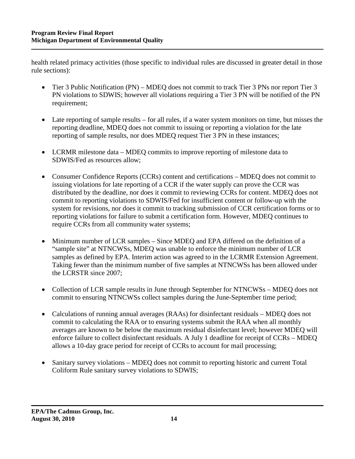health related primacy activities (those specific to individual rules are discussed in greater detail in those rule sections):

- Tier 3 Public Notification (PN) MDEQ does not commit to track Tier 3 PNs nor report Tier 3 PN violations to SDWIS; however all violations requiring a Tier 3 PN will be notified of the PN requirement;
- Late reporting of sample results for all rules, if a water system monitors on time, but misses the reporting deadline, MDEQ does not commit to issuing or reporting a violation for the late reporting of sample results, nor does MDEQ request Tier 3 PN in these instances;
- LCRMR milestone data MDEQ commits to improve reporting of milestone data to SDWIS/Fed as resources allow;
- Consumer Confidence Reports (CCRs) content and certifications MDEQ does not commit to issuing violations for late reporting of a CCR if the water supply can prove the CCR was distributed by the deadline, nor does it commit to reviewing CCRs for content. MDEQ does not commit to reporting violations to SDWIS/Fed for insufficient content or follow-up with the system for revisions, nor does it commit to tracking submission of CCR certification forms or to reporting violations for failure to submit a certification form. However, MDEQ continues to require CCRs from all community water systems;
- Minimum number of LCR samples Since MDEQ and EPA differed on the definition of a "sample site" at NTNCWSs, MDEQ was unable to enforce the minimum number of LCR samples as defined by EPA. Interim action was agreed to in the LCRMR Extension Agreement. Taking fewer than the minimum number of five samples at NTNCWSs has been allowed under the LCRSTR since 2007;
- Collection of LCR sample results in June through September for NTNCWSs MDEQ does not commit to ensuring NTNCWSs collect samples during the June-September time period;
- Calculations of running annual averages (RAAs) for disinfectant residuals MDEQ does not commit to calculating the RAA or to ensuring systems submit the RAA when all monthly averages are known to be below the maximum residual disinfectant level; however MDEQ will enforce failure to collect disinfectant residuals. A July 1 deadline for receipt of CCRs – MDEQ allows a 10-day grace period for receipt of CCRs to account for mail processing;
- Sanitary survey violations MDEQ does not commit to reporting historic and current Total Coliform Rule sanitary survey violations to SDWIS;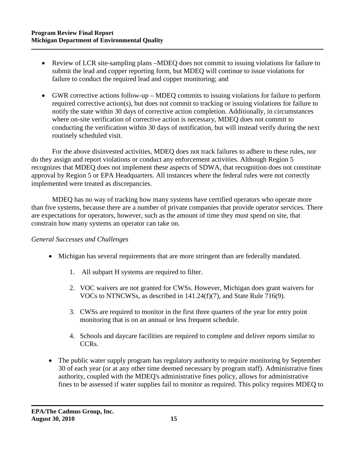- Review of LCR site-sampling plans –MDEQ does not commit to issuing violations for failure to submit the lead and copper reporting form, but MDEQ will continue to issue violations for failure to conduct the required lead and copper monitoring; and
- GWR corrective actions follow-up MDEQ commits to issuing violations for failure to perform required corrective action(s), but does not commit to tracking or issuing violations for failure to notify the state within 30 days of corrective action completion. Additionally, in circumstances where on-site verification of corrective action is necessary, MDEQ does not commit to conducting the verification within 30 days of notification, but will instead verify during the next routinely scheduled visit.

For the above disinvested activities, MDEQ does not track failures to adhere to these rules, nor do they assign and report violations or conduct any enforcement activities. Although Region 5 recognizes that MDEQ does not implement these aspects of SDWA, that recognition does not constitute approval by Region 5 or EPA Headquarters. All instances where the federal rules were not correctly implemented were treated as discrepancies.

MDEQ has no way of tracking how many systems have certified operators who operate more than five systems, because there are a number of private companies that provide operator services. There are expectations for operators, however, such as the amount of time they must spend on site, that constrain how many systems an operator can take on.

#### *General Successes and Challenges*

- Michigan has several requirements that are more stringent than are federally mandated.
	- 1. All subpart H systems are required to filter.
	- 2. VOC waivers are not granted for CWSs. However, Michigan does grant waivers for VOCs to NTNCWSs, as described in 141.24(f)(7), and State Rule 716(9).
	- 3. CWSs are required to monitor in the first three quarters of the year for entry point monitoring that is on an annual or less frequent schedule.
	- 4. Schools and daycare facilities are required to complete and deliver reports similar to CCRs.
- The public water supply program has regulatory authority to require monitoring by September 30 of each year (or at any other time deemed necessary by program staff). Administrative fines authority, coupled with the MDEQ's administrative fines policy, allows for administrative fines to be assessed if water supplies fail to monitor as required. This policy requires MDEQ to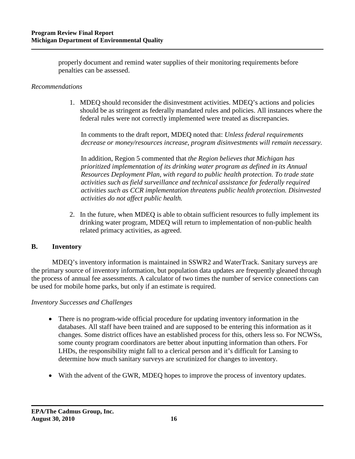properly document and remind water supplies of their monitoring requirements before penalties can be assessed.

#### *Recommendations*

1. MDEQ should reconsider the disinvestment activities. MDEQ's actions and policies should be as stringent as federally mandated rules and policies. All instances where the federal rules were not correctly implemented were treated as discrepancies.

In comments to the draft report, MDEQ noted that: *Unless federal requirements decrease or money/resources increase, program disinvestments will remain necessary.*

In addition, Region 5 commented that *the Region believes that Michigan has prioritized implementation of its drinking water program as defined in its Annual Resources Deployment Plan, with regard to public health protection. To trade state activities such as field surveillance and technical assistance for federally required activities such as CCR implementation threatens public health protection. Disinvested activities do not affect public health.*

2. In the future, when MDEQ is able to obtain sufficient resources to fully implement its drinking water program, MDEQ will return to implementation of non-public health related primacy activities, as agreed.

#### **B. Inventory**

MDEQ's inventory information is maintained in SSWR2 and WaterTrack. Sanitary surveys are the primary source of inventory information, but population data updates are frequently gleaned through the process of annual fee assessments. A calculator of two times the number of service connections can be used for mobile home parks, but only if an estimate is required.

#### *Inventory Successes and Challenges*

- There is no program-wide official procedure for updating inventory information in the databases. All staff have been trained and are supposed to be entering this information as it changes. Some district offices have an established process for this, others less so. For NCWSs, some county program coordinators are better about inputting information than others. For LHDs, the responsibility might fall to a clerical person and it's difficult for Lansing to determine how much sanitary surveys are scrutinized for changes to inventory.
- With the advent of the GWR, MDEQ hopes to improve the process of inventory updates.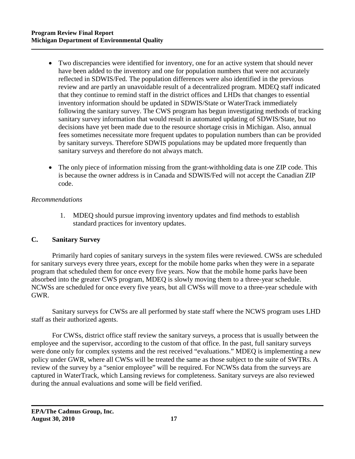- Two discrepancies were identified for inventory, one for an active system that should never have been added to the inventory and one for population numbers that were not accurately reflected in SDWIS/Fed. The population differences were also identified in the previous review and are partly an unavoidable result of a decentralized program. MDEQ staff indicated that they continue to remind staff in the district offices and LHDs that changes to essential inventory information should be updated in SDWIS/State or WaterTrack immediately following the sanitary survey. The CWS program has begun investigating methods of tracking sanitary survey information that would result in automated updating of SDWIS/State, but no decisions have yet been made due to the resource shortage crisis in Michigan. Also, annual fees sometimes necessitate more frequent updates to population numbers than can be provided by sanitary surveys. Therefore SDWIS populations may be updated more frequently than sanitary surveys and therefore do not always match.
- The only piece of information missing from the grant-withholding data is one ZIP code. This is because the owner address is in Canada and SDWIS/Fed will not accept the Canadian ZIP code.

#### *Recommendations*

1. MDEQ should pursue improving inventory updates and find methods to establish standard practices for inventory updates.

#### **C. Sanitary Survey**

Primarily hard copies of sanitary surveys in the system files were reviewed. CWSs are scheduled for sanitary surveys every three years, except for the mobile home parks when they were in a separate program that scheduled them for once every five years. Now that the mobile home parks have been absorbed into the greater CWS program, MDEQ is slowly moving them to a three-year schedule. NCWSs are scheduled for once every five years, but all CWSs will move to a three-year schedule with GWR.

Sanitary surveys for CWSs are all performed by state staff where the NCWS program uses LHD staff as their authorized agents.

For CWSs, district office staff review the sanitary surveys, a process that is usually between the employee and the supervisor, according to the custom of that office. In the past, full sanitary surveys were done only for complex systems and the rest received "evaluations." MDEQ is implementing a new policy under GWR, where all CWSs will be treated the same as those subject to the suite of SWTRs. A review of the survey by a "senior employee" will be required. For NCWSs data from the surveys are captured in WaterTrack, which Lansing reviews for completeness. Sanitary surveys are also reviewed during the annual evaluations and some will be field verified.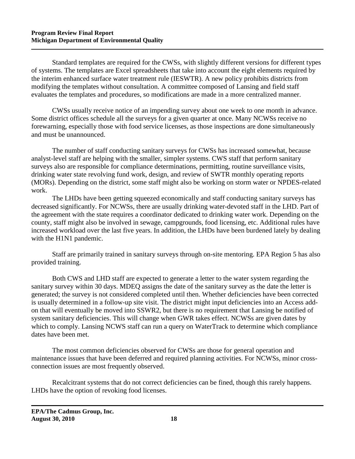Standard templates are required for the CWSs, with slightly different versions for different types of systems. The templates are Excel spreadsheets that take into account the eight elements required by the interim enhanced surface water treatment rule (IESWTR). A new policy prohibits districts from modifying the templates without consultation. A committee composed of Lansing and field staff evaluates the templates and procedures, so modifications are made in a more centralized manner.

CWSs usually receive notice of an impending survey about one week to one month in advance. Some district offices schedule all the surveys for a given quarter at once. Many NCWSs receive no forewarning, especially those with food service licenses, as those inspections are done simultaneously and must be unannounced.

The number of staff conducting sanitary surveys for CWSs has increased somewhat, because analyst-level staff are helping with the smaller, simpler systems. CWS staff that perform sanitary surveys also are responsible for compliance determinations, permitting, routine surveillance visits, drinking water state revolving fund work, design, and review of SWTR monthly operating reports (MORs). Depending on the district, some staff might also be working on storm water or NPDES-related work.

The LHDs have been getting squeezed economically and staff conducting sanitary surveys has decreased significantly. For NCWSs, there are usually drinking water-devoted staff in the LHD. Part of the agreement with the state requires a coordinator dedicated to drinking water work. Depending on the county, staff might also be involved in sewage, campgrounds, food licensing, etc. Additional rules have increased workload over the last five years. In addition, the LHDs have been burdened lately by dealing with the H1N1 pandemic.

Staff are primarily trained in sanitary surveys through on-site mentoring. EPA Region 5 has also provided training.

Both CWS and LHD staff are expected to generate a letter to the water system regarding the sanitary survey within 30 days. MDEQ assigns the date of the sanitary survey as the date the letter is generated; the survey is not considered completed until then. Whether deficiencies have been corrected is usually determined in a follow-up site visit. The district might input deficiencies into an Access addon that will eventually be moved into SSWR2, but there is no requirement that Lansing be notified of system sanitary deficiencies. This will change when GWR takes effect. NCWSs are given dates by which to comply. Lansing NCWS staff can run a query on WaterTrack to determine which compliance dates have been met.

The most common deficiencies observed for CWSs are those for general operation and maintenance issues that have been deferred and required planning activities. For NCWSs, minor crossconnection issues are most frequently observed.

Recalcitrant systems that do not correct deficiencies can be fined, though this rarely happens. LHDs have the option of revoking food licenses.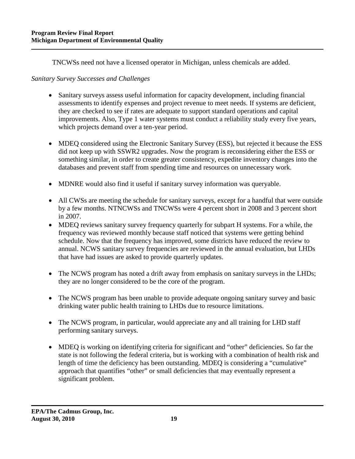TNCWSs need not have a licensed operator in Michigan, unless chemicals are added.

# *Sanitary Survey Successes and Challenges*

- Sanitary surveys assess useful information for capacity development, including financial assessments to identify expenses and project revenue to meet needs. If systems are deficient, they are checked to see if rates are adequate to support standard operations and capital improvements. Also, Type 1 water systems must conduct a reliability study every five years, which projects demand over a ten-year period.
- MDEQ considered using the Electronic Sanitary Survey (ESS), but rejected it because the ESS did not keep up with SSWR2 upgrades. Now the program is reconsidering either the ESS or something similar, in order to create greater consistency, expedite inventory changes into the databases and prevent staff from spending time and resources on unnecessary work.
- MDNRE would also find it useful if sanitary survey information was queryable.
- All CWSs are meeting the schedule for sanitary surveys, except for a handful that were outside by a few months. NTNCWSs and TNCWSs were 4 percent short in 2008 and 3 percent short in 2007.
- MDEQ reviews sanitary survey frequency quarterly for subpart H systems. For a while, the frequency was reviewed monthly because staff noticed that systems were getting behind schedule. Now that the frequency has improved, some districts have reduced the review to annual. NCWS sanitary survey frequencies are reviewed in the annual evaluation, but LHDs that have had issues are asked to provide quarterly updates.
- The NCWS program has noted a drift away from emphasis on sanitary surveys in the LHDs; they are no longer considered to be the core of the program.
- The NCWS program has been unable to provide adequate ongoing sanitary survey and basic drinking water public health training to LHDs due to resource limitations.
- The NCWS program, in particular, would appreciate any and all training for LHD staff performing sanitary surveys.
- MDEQ is working on identifying criteria for significant and "other" deficiencies. So far the state is not following the federal criteria, but is working with a combination of health risk and length of time the deficiency has been outstanding. MDEQ is considering a "cumulative" approach that quantifies "other" or small deficiencies that may eventually represent a significant problem.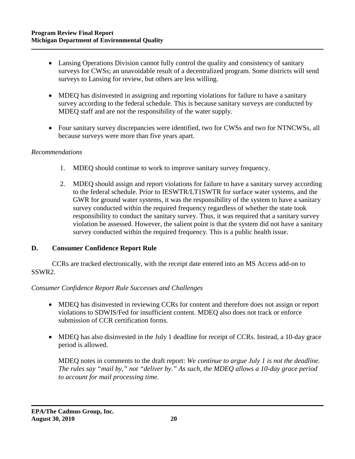- Lansing Operations Division cannot fully control the quality and consistency of sanitary surveys for CWSs; an unavoidable result of a decentralized program. Some districts will send surveys to Lansing for review, but others are less willing.
- MDEQ has disinvested in assigning and reporting violations for failure to have a sanitary survey according to the federal schedule. This is because sanitary surveys are conducted by MDEQ staff and are not the responsibility of the water supply.
- Four sanitary survey discrepancies were identified, two for CWSs and two for NTNCWSs, all because surveys were more than five years apart.

#### *Recommendations*

- 1. MDEQ should continue to work to improve sanitary survey frequency.
- 2. MDEQ should assign and report violations for failure to have a sanitary survey according to the federal schedule. Prior to IESWTR/LT1SWTR for surface water systems, and the GWR for ground water systems, it was the responsibility of the system to have a sanitary survey conducted within the required frequency regardless of whether the state took responsibility to conduct the sanitary survey. Thus, it was required that a sanitary survey violation be assessed. However, the salient point is that the system did not have a sanitary survey conducted within the required frequency. This is a public health issue.

#### **D. Consumer Confidence Report Rule**

CCRs are tracked electronically, with the receipt date entered into an MS Access add-on to SSWR2.

#### *Consumer Confidence Report Rule Successes and Challenges*

- MDEQ has disinvested in reviewing CCRs for content and therefore does not assign or report violations to SDWIS/Fed for insufficient content. MDEQ also does not track or enforce submission of CCR certification forms.
- MDEQ has also disinvested in the July 1 deadline for receipt of CCRs. Instead, a 10-day grace period is allowed.

MDEQ notes in comments to the draft report: *We continue to argue July 1 is not the deadline. The rules say "mail by," not "deliver by." As such, the MDEQ allows a 10-day grace period to account for mail processing time.*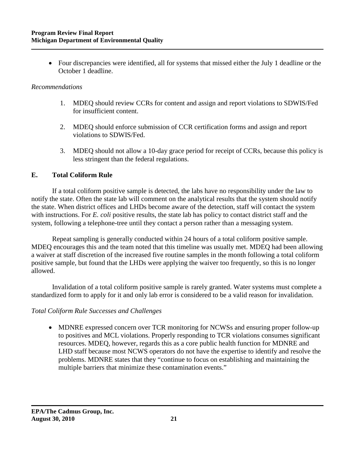• Four discrepancies were identified, all for systems that missed either the July 1 deadline or the October 1 deadline.

#### *Recommendations*

- 1. MDEQ should review CCRs for content and assign and report violations to SDWIS/Fed for insufficient content.
- 2. MDEQ should enforce submission of CCR certification forms and assign and report violations to SDWIS/Fed.
- 3. MDEQ should not allow a 10-day grace period for receipt of CCRs, because this policy is less stringent than the federal regulations.

#### **E. Total Coliform Rule**

If a total coliform positive sample is detected, the labs have no responsibility under the law to notify the state. Often the state lab will comment on the analytical results that the system should notify the state. When district offices and LHDs become aware of the detection, staff will contact the system with instructions. For *E. coli* positive results, the state lab has policy to contact district staff and the system, following a telephone-tree until they contact a person rather than a messaging system.

Repeat sampling is generally conducted within 24 hours of a total coliform positive sample. MDEQ encourages this and the team noted that this timeline was usually met. MDEQ had been allowing a waiver at staff discretion of the increased five routine samples in the month following a total coliform positive sample, but found that the LHDs were applying the waiver too frequently, so this is no longer allowed.

Invalidation of a total coliform positive sample is rarely granted. Water systems must complete a standardized form to apply for it and only lab error is considered to be a valid reason for invalidation.

#### *Total Coliform Rule Successes and Challenges*

• MDNRE expressed concern over TCR monitoring for NCWSs and ensuring proper follow-up to positives and MCL violations. Properly responding to TCR violations consumes significant resources. MDEQ, however, regards this as a core public health function for MDNRE and LHD staff because most NCWS operators do not have the expertise to identify and resolve the problems. MDNRE states that they "continue to focus on establishing and maintaining the multiple barriers that minimize these contamination events."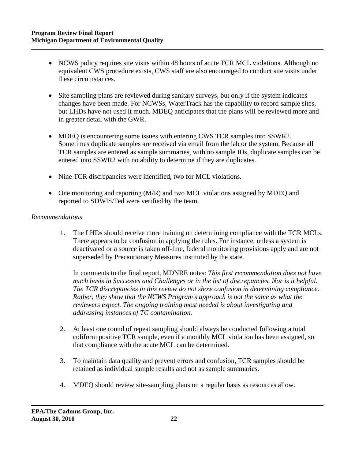- NCWS policy requires site visits within 48 hours of acute TCR MCL violations. Although no equivalent CWS procedure exists, CWS staff are also encouraged to conduct site visits under these circumstances.
- Site sampling plans are reviewed during sanitary surveys, but only if the system indicates changes have been made. For NCWSs, WaterTrack has the capability to record sample sites, but LHDs have not used it much. MDEQ anticipates that the plans will be reviewed more and in greater detail with the GWR.
- MDEQ is encountering some issues with entering CWS TCR samples into SSWR2. Sometimes duplicate samples are received via email from the lab or the system. Because all TCR samples are entered as sample summaries, with no sample IDs, duplicate samples can be entered into SSWR2 with no ability to determine if they are duplicates.
- Nine TCR discrepancies were identified, two for MCL violations.
- One monitoring and reporting (M/R) and two MCL violations assigned by MDEQ and reported to SDWIS/Fed were verified by the team.

# *Recommendations*

1. The LHDs should receive more training on determining compliance with the TCR MCLs. There appears to be confusion in applying the rules. For instance, unless a system is deactivated or a source is taken off-line, federal monitoring provisions apply and are not superseded by Precautionary Measures instituted by the state.

In comments to the final report, MDNRE notes: *This first recommendation does not have much basis in Successes and Challenges or in the list of discrepancies. Nor is it helpful. The TCR discrepancies in this review do not show confusion in determining compliance. Rather, they show that the NCWS Program's approach is not the same as what the reviewers expect. The ongoing training most needed is about investigating and addressing instances of TC contamination.* 

- 2. At least one round of repeat sampling should always be conducted following a total coliform positive TCR sample, even if a monthly MCL violation has been assigned, so that compliance with the acute MCL can be determined.
- 3. To maintain data quality and prevent errors and confusion, TCR samples should be retained as individual sample results and not as sample summaries.
- 4. MDEQ should review site-sampling plans on a regular basis as resources allow.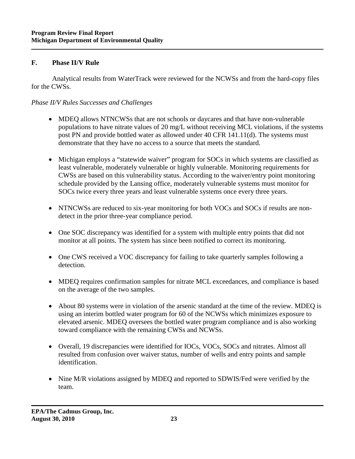#### **F. Phase II/V Rule**

Analytical results from WaterTrack were reviewed for the NCWSs and from the hard-copy files for the CWSs.

# *Phase II/V Rules Successes and Challenges*

- MDEQ allows NTNCWSs that are not schools or daycares and that have non-vulnerable populations to have nitrate values of 20 mg/L without receiving MCL violations, if the systems post PN and provide bottled water as allowed under 40 CFR 141.11(d). The systems must demonstrate that they have no access to a source that meets the standard.
- Michigan employs a "statewide waiver" program for SOCs in which systems are classified as least vulnerable, moderately vulnerable or highly vulnerable. Monitoring requirements for CWSs are based on this vulnerability status. According to the waiver/entry point monitoring schedule provided by the Lansing office, moderately vulnerable systems must monitor for SOCs twice every three years and least vulnerable systems once every three years.
- NTNCWSs are reduced to six-year monitoring for both VOCs and SOCs if results are nondetect in the prior three-year compliance period.
- One SOC discrepancy was identified for a system with multiple entry points that did not monitor at all points. The system has since been notified to correct its monitoring.
- One CWS received a VOC discrepancy for failing to take quarterly samples following a detection.
- MDEQ requires confirmation samples for nitrate MCL exceedances, and compliance is based on the average of the two samples.
- About 80 systems were in violation of the arsenic standard at the time of the review. MDEQ is using an interim bottled water program for 60 of the NCWSs which minimizes exposure to elevated arsenic. MDEQ oversees the bottled water program compliance and is also working toward compliance with the remaining CWSs and NCWSs.
- Overall, 19 discrepancies were identified for IOCs, VOCs, SOCs and nitrates. Almost all resulted from confusion over waiver status, number of wells and entry points and sample identification.
- Nine M/R violations assigned by MDEQ and reported to SDWIS/Fed were verified by the team.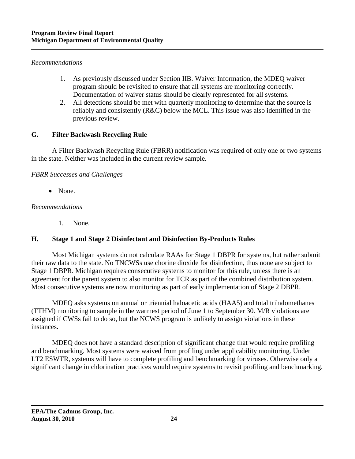#### *Recommendations*

- 1. As previously discussed under Section IIB. Waiver Information, the MDEQ waiver program should be revisited to ensure that all systems are monitoring correctly. Documentation of waiver status should be clearly represented for all systems.
- 2. All detections should be met with quarterly monitoring to determine that the source is reliably and consistently (R&C) below the MCL. This issue was also identified in the previous review.

# **G. Filter Backwash Recycling Rule**

A Filter Backwash Recycling Rule (FBRR) notification was required of only one or two systems in the state. Neither was included in the current review sample.

# *FBRR Successes and Challenges*

• None.

# *Recommendations*

1. None.

# **H. Stage 1 and Stage 2 Disinfectant and Disinfection By-Products Rules**

Most Michigan systems do not calculate RAAs for Stage 1 DBPR for systems, but rather submit their raw data to the state. No TNCWSs use chorine dioxide for disinfection, thus none are subject to Stage 1 DBPR. Michigan requires consecutive systems to monitor for this rule, unless there is an agreement for the parent system to also monitor for TCR as part of the combined distribution system. Most consecutive systems are now monitoring as part of early implementation of Stage 2 DBPR.

MDEQ asks systems on annual or triennial haloacetic acids (HAA5) and total trihalomethanes (TTHM) monitoring to sample in the warmest period of June 1 to September 30. M/R violations are assigned if CWSs fail to do so, but the NCWS program is unlikely to assign violations in these instances.

MDEQ does not have a standard description of significant change that would require profiling and benchmarking. Most systems were waived from profiling under applicability monitoring. Under LT2 ESWTR, systems will have to complete profiling and benchmarking for viruses. Otherwise only a significant change in chlorination practices would require systems to revisit profiling and benchmarking.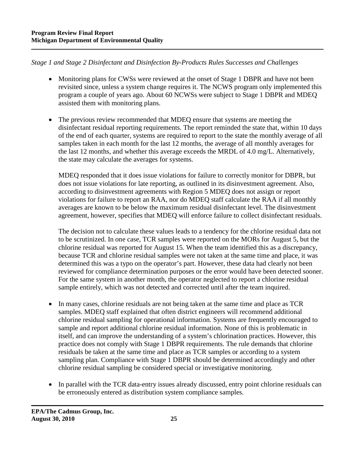*Stage 1 and Stage 2 Disinfectant and Disinfection By-Products Rules Successes and Challenges* 

- Monitoring plans for CWSs were reviewed at the onset of Stage 1 DBPR and have not been revisited since, unless a system change requires it. The NCWS program only implemented this program a couple of years ago. About 60 NCWSs were subject to Stage 1 DBPR and MDEQ assisted them with monitoring plans.
- The previous review recommended that MDEQ ensure that systems are meeting the disinfectant residual reporting requirements. The report reminded the state that, within 10 days of the end of each quarter, systems are required to report to the state the monthly average of all samples taken in each month for the last 12 months, the average of all monthly averages for the last 12 months, and whether this average exceeds the MRDL of 4.0 mg/L. Alternatively, the state may calculate the averages for systems.

MDEQ responded that it does issue violations for failure to correctly monitor for DBPR, but does not issue violations for late reporting, as outlined in its disinvestment agreement. Also, according to disinvestment agreements with Region 5 MDEQ does not assign or report violations for failure to report an RAA, nor do MDEQ staff calculate the RAA if all monthly averages are known to be below the maximum residual disinfectant level. The disinvestment agreement, however, specifies that MDEQ will enforce failure to collect disinfectant residuals.

The decision not to calculate these values leads to a tendency for the chlorine residual data not to be scrutinized. In one case, TCR samples were reported on the MORs for August 5, but the chlorine residual was reported for August 15. When the team identified this as a discrepancy, because TCR and chlorine residual samples were not taken at the same time and place, it was determined this was a typo on the operator's part. However, these data had clearly not been reviewed for compliance determination purposes or the error would have been detected sooner. For the same system in another month, the operator neglected to report a chlorine residual sample entirely, which was not detected and corrected until after the team inquired.

- In many cases, chlorine residuals are not being taken at the same time and place as TCR samples. MDEQ staff explained that often district engineers will recommend additional chlorine residual sampling for operational information. Systems are frequently encouraged to sample and report additional chlorine residual information. None of this is problematic in itself, and can improve the understanding of a system's chlorination practices. However, this practice does not comply with Stage 1 DBPR requirements. The rule demands that chlorine residuals be taken at the same time and place as TCR samples or according to a system sampling plan. Compliance with Stage 1 DBPR should be determined accordingly and other chlorine residual sampling be considered special or investigative monitoring.
- In parallel with the TCR data-entry issues already discussed, entry point chlorine residuals can be erroneously entered as distribution system compliance samples.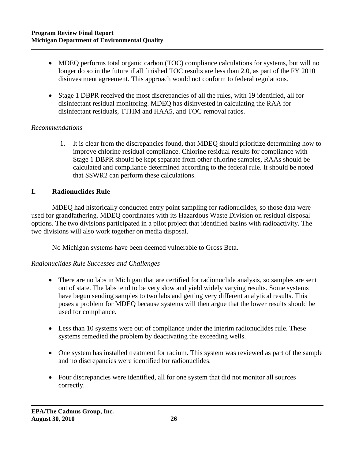- MDEQ performs total organic carbon (TOC) compliance calculations for systems, but will no longer do so in the future if all finished TOC results are less than 2.0, as part of the FY 2010 disinvestment agreement. This approach would not conform to federal regulations.
- Stage 1 DBPR received the most discrepancies of all the rules, with 19 identified, all for disinfectant residual monitoring. MDEQ has disinvested in calculating the RAA for disinfectant residuals, TTHM and HAA5, and TOC removal ratios.

#### *Recommendations*

1. It is clear from the discrepancies found, that MDEQ should prioritize determining how to improve chlorine residual compliance. Chlorine residual results for compliance with Stage 1 DBPR should be kept separate from other chlorine samples, RAAs should be calculated and compliance determined according to the federal rule. It should be noted that SSWR2 can perform these calculations.

# **I. Radionuclides Rule**

MDEQ had historically conducted entry point sampling for radionuclides, so those data were used for grandfathering. MDEQ coordinates with its Hazardous Waste Division on residual disposal options. The two divisions participated in a pilot project that identified basins with radioactivity. The two divisions will also work together on media disposal.

No Michigan systems have been deemed vulnerable to Gross Beta.

#### *Radionuclides Rule Successes and Challenges*

- There are no labs in Michigan that are certified for radionuclide analysis, so samples are sent out of state. The labs tend to be very slow and yield widely varying results. Some systems have begun sending samples to two labs and getting very different analytical results. This poses a problem for MDEQ because systems will then argue that the lower results should be used for compliance.
- Less than 10 systems were out of compliance under the interim radionuclides rule. These systems remedied the problem by deactivating the exceeding wells.
- One system has installed treatment for radium. This system was reviewed as part of the sample and no discrepancies were identified for radionuclides.
- Four discrepancies were identified, all for one system that did not monitor all sources correctly.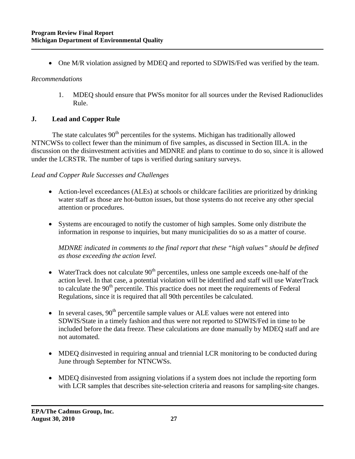• One M/R violation assigned by MDEQ and reported to SDWIS/Fed was verified by the team.

#### *Recommendations*

1. MDEQ should ensure that PWSs monitor for all sources under the Revised Radionuclides Rule.

# **J. Lead and Copper Rule**

The state calculates  $90<sup>th</sup>$  percentiles for the systems. Michigan has traditionally allowed NTNCWSs to collect fewer than the minimum of five samples, as discussed in Section III.A. in the discussion on the disinvestment activities and MDNRE and plans to continue to do so, since it is allowed under the LCRSTR. The number of taps is verified during sanitary surveys.

# *Lead and Copper Rule Successes and Challenges*

- Action-level exceedances (ALEs) at schools or childcare facilities are prioritized by drinking water staff as those are hot-button issues, but those systems do not receive any other special attention or procedures.
- Systems are encouraged to notify the customer of high samples. Some only distribute the information in response to inquiries, but many municipalities do so as a matter of course.

*MDNRE indicated in comments to the final report that these "high values" should be defined as those exceeding the action level.*

- WaterTrack does not calculate  $90<sup>th</sup>$  percentiles, unless one sample exceeds one-half of the action level. In that case, a potential violation will be identified and staff will use WaterTrack to calculate the  $90<sup>th</sup>$  percentile. This practice does not meet the requirements of Federal Regulations, since it is required that all 90th percentiles be calculated.
- In several cases,  $90<sup>th</sup>$  percentile sample values or ALE values were not entered into SDWIS/State in a timely fashion and thus were not reported to SDWIS/Fed in time to be included before the data freeze. These calculations are done manually by MDEQ staff and are not automated.
- MDEQ disinvested in requiring annual and triennial LCR monitoring to be conducted during June through September for NTNCWSs.
- MDEQ disinvested from assigning violations if a system does not include the reporting form with LCR samples that describes site-selection criteria and reasons for sampling-site changes.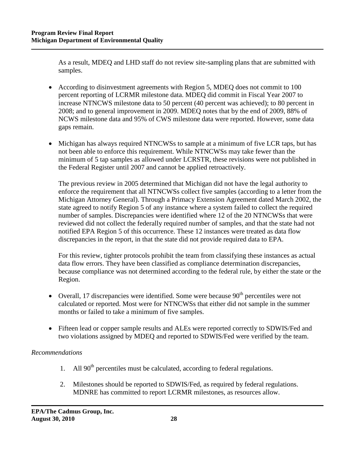As a result, MDEQ and LHD staff do not review site-sampling plans that are submitted with samples.

- According to disinvestment agreements with Region 5, MDEQ does not commit to 100 percent reporting of LCRMR milestone data. MDEQ did commit in Fiscal Year 2007 to increase NTNCWS milestone data to 50 percent (40 percent was achieved); to 80 percent in 2008; and to general improvement in 2009. MDEQ notes that by the end of 2009, 88% of NCWS milestone data and 95% of CWS milestone data were reported. However, some data gaps remain.
- Michigan has always required NTNCWSs to sample at a minimum of five LCR taps, but has not been able to enforce this requirement. While NTNCWSs may take fewer than the minimum of 5 tap samples as allowed under LCRSTR, these revisions were not published in the Federal Register until 2007 and cannot be applied retroactively.

The previous review in 2005 determined that Michigan did not have the legal authority to enforce the requirement that all NTNCWSs collect five samples (according to a letter from the Michigan Attorney General). Through a Primacy Extension Agreement dated March 2002, the state agreed to notify Region 5 of any instance where a system failed to collect the required number of samples. Discrepancies were identified where 12 of the 20 NTNCWSs that were reviewed did not collect the federally required number of samples, and that the state had not notified EPA Region 5 of this occurrence. These 12 instances were treated as data flow discrepancies in the report, in that the state did not provide required data to EPA.

For this review, tighter protocols prohibit the team from classifying these instances as actual data flow errors. They have been classified as compliance determination discrepancies, because compliance was not determined according to the federal rule, by either the state or the Region.

- Overall, 17 discrepancies were identified. Some were because  $90<sup>th</sup>$  percentiles were not calculated or reported. Most were for NTNCWSs that either did not sample in the summer months or failed to take a minimum of five samples.
- Fifteen lead or copper sample results and ALEs were reported correctly to SDWIS/Fed and two violations assigned by MDEQ and reported to SDWIS/Fed were verified by the team.

# *Recommendations*

- 1. All  $90<sup>th</sup>$  percentiles must be calculated, according to federal regulations.
- 2. Milestones should be reported to SDWIS/Fed, as required by federal regulations. MDNRE has committed to report LCRMR milestones, as resources allow.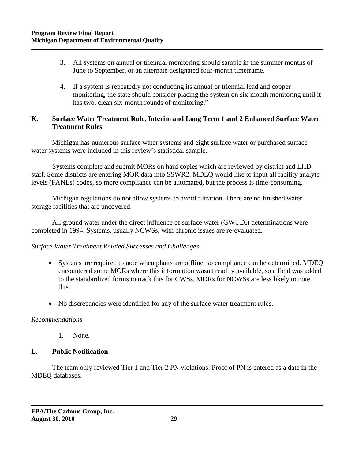- 3. All systems on annual or triennial monitoring should sample in the summer months of June to September, or an alternate designated four-month timeframe.
- 4. If a system is repeatedly not conducting its annual or triennial lead and copper monitoring, the state should consider placing the system on six-month monitoring until it has two, clean six-month rounds of monitoring."

# **K. Surface Water Treatment Rule, Interim and Long Term 1 and 2 Enhanced Surface Water Treatment Rules**

Michigan has numerous surface water systems and eight surface water or purchased surface water systems were included in this review's statistical sample.

Systems complete and submit MORs on hard copies which are reviewed by district and LHD staff. Some districts are entering MOR data into SSWR2. MDEQ would like to input all facility analyte levels (FANLs) codes, so more compliance can be automated, but the process is time-consuming.

Michigan regulations do not allow systems to avoid filtration. There are no finished water storage facilities that are uncovered.

All ground water under the direct influence of surface water (GWUDI) determinations were completed in 1994. Systems, usually NCWSs, with chronic issues are re-evaluated.

#### *Surface Water Treatment Related Successes and Challenges*

- Systems are required to note when plants are offline, so compliance can be determined. MDEQ encountered some MORs where this information wasn't readily available, so a field was added to the standardized forms to track this for CWSs. MORs for NCWSs are less likely to note this.
- No discrepancies were identified for any of the surface water treatment rules.

#### *Recommendations*

1. None.

# **L. Public Notification**

The team only reviewed Tier 1 and Tier 2 PN violations. Proof of PN is entered as a date in the MDEQ databases.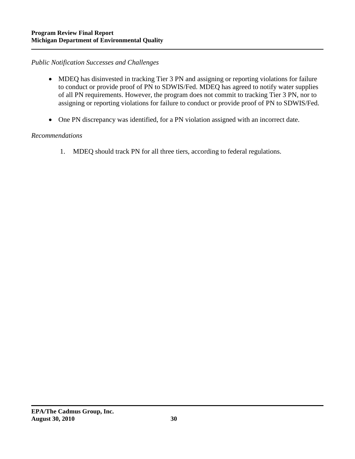# *Public Notification Successes and Challenges*

- MDEQ has disinvested in tracking Tier 3 PN and assigning or reporting violations for failure to conduct or provide proof of PN to SDWIS/Fed. MDEQ has agreed to notify water supplies of all PN requirements. However, the program does not commit to tracking Tier 3 PN, nor to assigning or reporting violations for failure to conduct or provide proof of PN to SDWIS/Fed.
- One PN discrepancy was identified, for a PN violation assigned with an incorrect date.

#### *Recommendations*

1. MDEQ should track PN for all three tiers, according to federal regulations.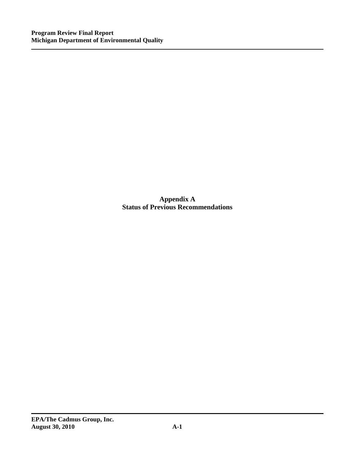**Appendix A Status of Previous Recommendations**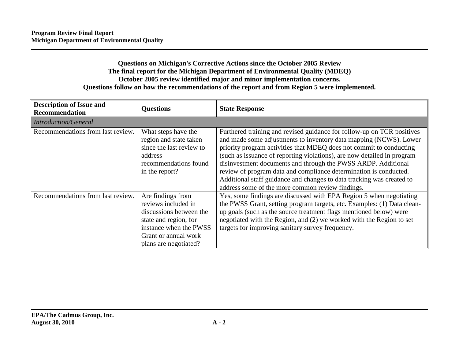# **Questions on Michigan's Corrective Actions since the October 2005 Review The final report for the Michigan Department of Environmental Quality (MDEQ) October 2005 review identified major and minor implementation concerns. Questions follow on how the recommendations of the report and from Region 5 were implemented.**

| <b>Description of Issue and</b><br>Recommendation | <b>Questions</b>                                                                                                                                                        | <b>State Response</b>                                                                                                                                                                                                                                                                                                                                                                                                                                                                                                                                            |  |  |  |
|---------------------------------------------------|-------------------------------------------------------------------------------------------------------------------------------------------------------------------------|------------------------------------------------------------------------------------------------------------------------------------------------------------------------------------------------------------------------------------------------------------------------------------------------------------------------------------------------------------------------------------------------------------------------------------------------------------------------------------------------------------------------------------------------------------------|--|--|--|
| <b>Introduction/General</b>                       |                                                                                                                                                                         |                                                                                                                                                                                                                                                                                                                                                                                                                                                                                                                                                                  |  |  |  |
| Recommendations from last review.                 | What steps have the<br>region and state taken<br>since the last review to<br>address<br>recommendations found<br>in the report?                                         | Furthered training and revised guidance for follow-up on TCR positives<br>and made some adjustments to inventory data mapping (NCWS). Lower<br>priority program activities that MDEQ does not commit to conducting<br>(such as issuance of reporting violations), are now detailed in program<br>disinvestment documents and through the PWSS ARDP. Additional<br>review of program data and compliance determination is conducted.<br>Additional staff guidance and changes to data tracking was created to<br>address some of the more common review findings. |  |  |  |
| Recommendations from last review.                 | Are findings from<br>reviews included in<br>discussions between the<br>state and region, for<br>instance when the PWSS<br>Grant or annual work<br>plans are negotiated? | Yes, some findings are discussed with EPA Region 5 when negotiating<br>the PWSS Grant, setting program targets, etc. Examples: (1) Data clean-<br>up goals (such as the source treatment flags mentioned below) were<br>negotiated with the Region, and (2) we worked with the Region to set<br>targets for improving sanitary survey frequency.                                                                                                                                                                                                                 |  |  |  |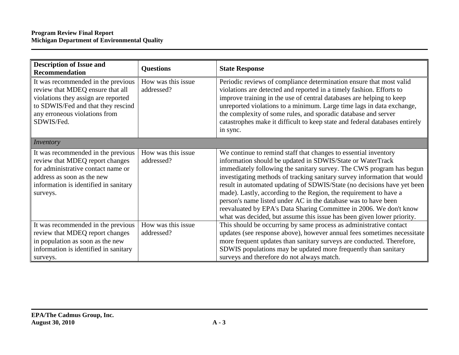| <b>Description of Issue and</b><br><b>Recommendation</b>                                                                                                                                           | <b>Questions</b>                 | <b>State Response</b>                                                                                                                                                                                                                                                                                                                                                                                                                                                                                                                                                                                                                               |
|----------------------------------------------------------------------------------------------------------------------------------------------------------------------------------------------------|----------------------------------|-----------------------------------------------------------------------------------------------------------------------------------------------------------------------------------------------------------------------------------------------------------------------------------------------------------------------------------------------------------------------------------------------------------------------------------------------------------------------------------------------------------------------------------------------------------------------------------------------------------------------------------------------------|
| It was recommended in the previous<br>review that MDEQ ensure that all<br>violations they assign are reported<br>to SDWIS/Fed and that they rescind<br>any erroneous violations from<br>SDWIS/Fed. | How was this issue<br>addressed? | Periodic reviews of compliance determination ensure that most valid<br>violations are detected and reported in a timely fashion. Efforts to<br>improve training in the use of central databases are helping to keep<br>unreported violations to a minimum. Large time lags in data exchange,<br>the complexity of some rules, and sporadic database and server<br>catastrophes make it difficult to keep state and federal databases entirely<br>in sync.                                                                                                                                                                                           |
| <i>Inventory</i>                                                                                                                                                                                   |                                  |                                                                                                                                                                                                                                                                                                                                                                                                                                                                                                                                                                                                                                                     |
| It was recommended in the previous<br>review that MDEQ report changes<br>for administrative contact name or<br>address as soon as the new<br>information is identified in sanitary<br>surveys.     | How was this issue<br>addressed? | We continue to remind staff that changes to essential inventory<br>information should be updated in SDWIS/State or WaterTrack<br>immediately following the sanitary survey. The CWS program has begun<br>investigating methods of tracking sanitary survey information that would<br>result in automated updating of SDWIS/State (no decisions have yet been<br>made). Lastly, according to the Region, the requirement to have a<br>person's name listed under AC in the database was to have been<br>reevaluated by EPA's Data Sharing Committee in 2006. We don't know<br>what was decided, but assume this issue has been given lower priority. |
| It was recommended in the previous<br>review that MDEQ report changes<br>in population as soon as the new<br>information is identified in sanitary<br>surveys.                                     | How was this issue<br>addressed? | This should be occurring by same process as administrative contact<br>updates (see response above), however annual fees sometimes necessitate<br>more frequent updates than sanitary surveys are conducted. Therefore,<br>SDWIS populations may be updated more frequently than sanitary<br>surveys and therefore do not always match.                                                                                                                                                                                                                                                                                                              |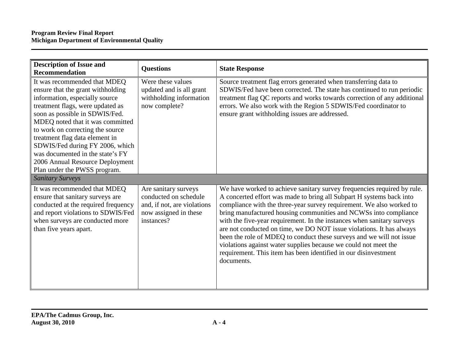| <b>Description of Issue and</b>                                                                                                                                                                                                                                                                                                                                                                                               | <b>Questions</b>                                                                                                    | <b>State Response</b>                                                                                                                                                                                                                                                                                                                                                                                                                                                                                                                                                                                                                                                     |
|-------------------------------------------------------------------------------------------------------------------------------------------------------------------------------------------------------------------------------------------------------------------------------------------------------------------------------------------------------------------------------------------------------------------------------|---------------------------------------------------------------------------------------------------------------------|---------------------------------------------------------------------------------------------------------------------------------------------------------------------------------------------------------------------------------------------------------------------------------------------------------------------------------------------------------------------------------------------------------------------------------------------------------------------------------------------------------------------------------------------------------------------------------------------------------------------------------------------------------------------------|
| <b>Recommendation</b>                                                                                                                                                                                                                                                                                                                                                                                                         |                                                                                                                     |                                                                                                                                                                                                                                                                                                                                                                                                                                                                                                                                                                                                                                                                           |
| It was recommended that MDEQ<br>ensure that the grant withholding<br>information, especially source<br>treatment flags, were updated as<br>soon as possible in SDWIS/Fed.<br>MDEQ noted that it was committed<br>to work on correcting the source<br>treatment flag data element in<br>SDWIS/Fed during FY 2006, which<br>was documented in the state's FY<br>2006 Annual Resource Deployment<br>Plan under the PWSS program. | Were these values<br>updated and is all grant<br>withholding information<br>now complete?                           | Source treatment flag errors generated when transferring data to<br>SDWIS/Fed have been corrected. The state has continued to run periodic<br>treatment flag QC reports and works towards correction of any additional<br>errors. We also work with the Region 5 SDWIS/Fed coordinator to<br>ensure grant withholding issues are addressed.                                                                                                                                                                                                                                                                                                                               |
| <b>Sanitary Surveys</b>                                                                                                                                                                                                                                                                                                                                                                                                       |                                                                                                                     |                                                                                                                                                                                                                                                                                                                                                                                                                                                                                                                                                                                                                                                                           |
| It was recommended that MDEQ<br>ensure that sanitary surveys are<br>conducted at the required frequency<br>and report violations to SDWIS/Fed<br>when surveys are conducted more<br>than five years apart.                                                                                                                                                                                                                    | Are sanitary surveys<br>conducted on schedule<br>and, if not, are violations<br>now assigned in these<br>instances? | We have worked to achieve sanitary survey frequencies required by rule.<br>A concerted effort was made to bring all Subpart H systems back into<br>compliance with the three-year survey requirement. We also worked to<br>bring manufactured housing communities and NCWSs into compliance<br>with the five-year requirement. In the instances when sanitary surveys<br>are not conducted on time, we DO NOT issue violations. It has always<br>been the role of MDEQ to conduct these surveys and we will not issue<br>violations against water supplies because we could not meet the<br>requirement. This item has been identified in our disinvestment<br>documents. |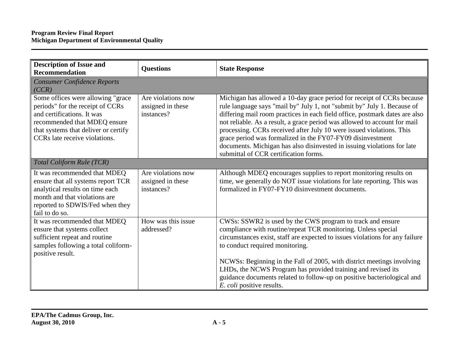| <b>Description of Issue and</b><br><b>Recommendation</b>                                                                                                                                                     | <b>Questions</b>                                      | <b>State Response</b>                                                                                                                                                                                                                                                                                                                                                                                                                                                                                                                                                   |
|--------------------------------------------------------------------------------------------------------------------------------------------------------------------------------------------------------------|-------------------------------------------------------|-------------------------------------------------------------------------------------------------------------------------------------------------------------------------------------------------------------------------------------------------------------------------------------------------------------------------------------------------------------------------------------------------------------------------------------------------------------------------------------------------------------------------------------------------------------------------|
| <b>Consumer Confidence Reports</b><br>(CCR)                                                                                                                                                                  |                                                       |                                                                                                                                                                                                                                                                                                                                                                                                                                                                                                                                                                         |
| Some offices were allowing "grace<br>periods" for the receipt of CCRs<br>and certifications. It was<br>recommended that MDEQ ensure<br>that systems that deliver or certify<br>CCRs late receive violations. | Are violations now<br>assigned in these<br>instances? | Michigan has allowed a 10-day grace period for receipt of CCRs because<br>rule language says "mail by" July 1, not "submit by" July 1. Because of<br>differing mail room practices in each field office, postmark dates are also<br>not reliable. As a result, a grace period was allowed to account for mail<br>processing. CCRs received after July 10 were issued violations. This<br>grace period was formalized in the FY07-FY09 disinvestment<br>documents. Michigan has also disinvested in issuing violations for late<br>submittal of CCR certification forms. |
| Total Coliform Rule (TCR)                                                                                                                                                                                    |                                                       |                                                                                                                                                                                                                                                                                                                                                                                                                                                                                                                                                                         |
| It was recommended that MDEQ<br>ensure that all systems report TCR<br>analytical results on time each<br>month and that violations are<br>reported to SDWIS/Fed when they<br>fail to do so.                  | Are violations now<br>assigned in these<br>instances? | Although MDEQ encourages supplies to report monitoring results on<br>time, we generally do NOT issue violations for late reporting. This was<br>formalized in FY07-FY10 disinvestment documents.                                                                                                                                                                                                                                                                                                                                                                        |
| It was recommended that MDEQ<br>ensure that systems collect<br>sufficient repeat and routine<br>samples following a total coliform-<br>positive result.                                                      | How was this issue<br>addressed?                      | CWSs: SSWR2 is used by the CWS program to track and ensure<br>compliance with routine/repeat TCR monitoring. Unless special<br>circumstances exist, staff are expected to issues violations for any failure<br>to conduct required monitoring.<br>NCWSs: Beginning in the Fall of 2005, with district meetings involving<br>LHDs, the NCWS Program has provided training and revised its<br>guidance documents related to follow-up on positive bacteriological and<br><i>E. coli</i> positive results.                                                                 |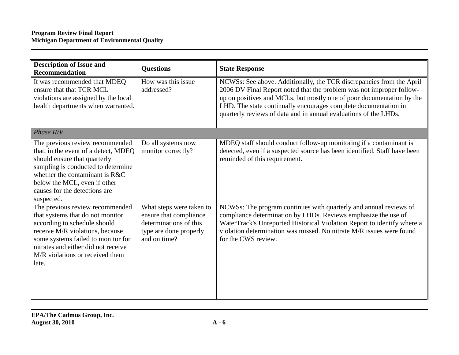| <b>Description of Issue and</b><br><b>Recommendation</b>                                                                                                                                                                                                        | <b>Questions</b>                                                                                                       | <b>State Response</b>                                                                                                                                                                                                                                                                                                                                        |
|-----------------------------------------------------------------------------------------------------------------------------------------------------------------------------------------------------------------------------------------------------------------|------------------------------------------------------------------------------------------------------------------------|--------------------------------------------------------------------------------------------------------------------------------------------------------------------------------------------------------------------------------------------------------------------------------------------------------------------------------------------------------------|
| It was recommended that MDEQ<br>ensure that that TCR MCL<br>violations are assigned by the local<br>health departments when warranted.                                                                                                                          | How was this issue<br>addressed?                                                                                       | NCWSs: See above. Additionally, the TCR discrepancies from the April<br>2006 DV Final Report noted that the problem was not improper follow-<br>up on positives and MCLs, but mostly one of poor documentation by the<br>LHD. The state continually encourages complete documentation in<br>quarterly reviews of data and in annual evaluations of the LHDs. |
| Phase II/V                                                                                                                                                                                                                                                      |                                                                                                                        |                                                                                                                                                                                                                                                                                                                                                              |
| The previous review recommended<br>that, in the event of a detect, MDEQ<br>should ensure that quarterly<br>sampling is conducted to determine<br>whether the contaminant is R&C<br>below the MCL, even if other<br>causes for the detections are<br>suspected.  | Do all systems now<br>monitor correctly?                                                                               | MDEQ staff should conduct follow-up monitoring if a contaminant is<br>detected, even if a suspected source has been identified. Staff have been<br>reminded of this requirement.                                                                                                                                                                             |
| The previous review recommended<br>that systems that do not monitor<br>according to schedule should<br>receive M/R violations, because<br>some systems failed to monitor for<br>nitrates and either did not receive<br>M/R violations or received them<br>late. | What steps were taken to<br>ensure that compliance<br>determinations of this<br>type are done properly<br>and on time? | NCWSs: The program continues with quarterly and annual reviews of<br>compliance determination by LHDs. Reviews emphasize the use of<br>WaterTrack's Unreported Historical Violation Report to identify where a<br>violation determination was missed. No nitrate M/R issues were found<br>for the CWS review.                                                |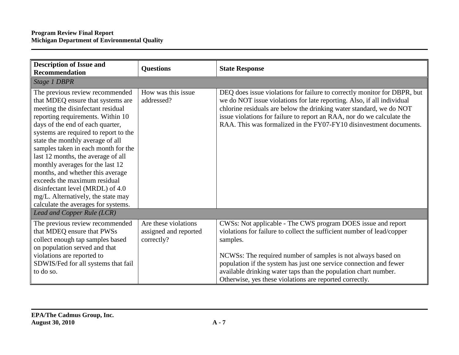| <b>Description of Issue and</b><br><b>Recommendation</b>                                                                                                                                                                                                                                                                                                                                                                                                                                                                                                              | <b>Questions</b>                                            | <b>State Response</b>                                                                                                                                                                                                                                                                                                                                                                                                  |
|-----------------------------------------------------------------------------------------------------------------------------------------------------------------------------------------------------------------------------------------------------------------------------------------------------------------------------------------------------------------------------------------------------------------------------------------------------------------------------------------------------------------------------------------------------------------------|-------------------------------------------------------------|------------------------------------------------------------------------------------------------------------------------------------------------------------------------------------------------------------------------------------------------------------------------------------------------------------------------------------------------------------------------------------------------------------------------|
|                                                                                                                                                                                                                                                                                                                                                                                                                                                                                                                                                                       |                                                             |                                                                                                                                                                                                                                                                                                                                                                                                                        |
| <b>Stage 1 DBPR</b>                                                                                                                                                                                                                                                                                                                                                                                                                                                                                                                                                   |                                                             |                                                                                                                                                                                                                                                                                                                                                                                                                        |
| The previous review recommended<br>that MDEQ ensure that systems are<br>meeting the disinfectant residual<br>reporting requirements. Within 10<br>days of the end of each quarter,<br>systems are required to report to the<br>state the monthly average of all<br>samples taken in each month for the<br>last 12 months, the average of all<br>monthly averages for the last 12<br>months, and whether this average<br>exceeds the maximum residual<br>disinfectant level (MRDL) of 4.0<br>mg/L. Alternatively, the state may<br>calculate the averages for systems. | How was this issue<br>addressed?                            | DEQ does issue violations for failure to correctly monitor for DBPR, but<br>we do NOT issue violations for late reporting. Also, if all individual<br>chlorine residuals are below the drinking water standard, we do NOT<br>issue violations for failure to report an RAA, nor do we calculate the<br>RAA. This was formalized in the FY07-FY10 disinvestment documents.                                              |
| Lead and Copper Rule (LCR)                                                                                                                                                                                                                                                                                                                                                                                                                                                                                                                                            |                                                             |                                                                                                                                                                                                                                                                                                                                                                                                                        |
| The previous review recommended<br>that MDEQ ensure that PWSs<br>collect enough tap samples based<br>on population served and that<br>violations are reported to<br>SDWIS/Fed for all systems that fail<br>to do so.                                                                                                                                                                                                                                                                                                                                                  | Are these violations<br>assigned and reported<br>correctly? | CWSs: Not applicable - The CWS program DOES issue and report<br>violations for failure to collect the sufficient number of lead/copper<br>samples.<br>NCWSs: The required number of samples is not always based on<br>population if the system has just one service connection and fewer<br>available drinking water taps than the population chart number.<br>Otherwise, yes these violations are reported correctly. |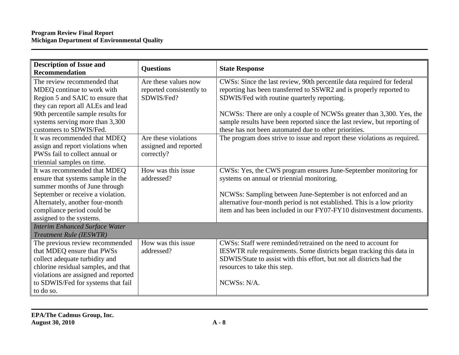| <b>Description of Issue and</b><br>Recommendation                                                                                                                                                                                      | <b>Questions</b>                                               | <b>State Response</b>                                                                                                                                                                                                                                                                                                                                                                                      |
|----------------------------------------------------------------------------------------------------------------------------------------------------------------------------------------------------------------------------------------|----------------------------------------------------------------|------------------------------------------------------------------------------------------------------------------------------------------------------------------------------------------------------------------------------------------------------------------------------------------------------------------------------------------------------------------------------------------------------------|
| The review recommended that<br>MDEQ continue to work with<br>Region 5 and SAIC to ensure that<br>they can report all ALEs and lead<br>90th percentile sample results for<br>systems serving more than 3,300<br>customers to SDWIS/Fed. | Are these values now<br>reported consistently to<br>SDWIS/Fed? | CWSs: Since the last review, 90th percentile data required for federal<br>reporting has been transferred to SSWR2 and is properly reported to<br>SDWIS/Fed with routine quarterly reporting.<br>NCWSs: There are only a couple of NCWSs greater than 3,300. Yes, the<br>sample results have been reported since the last review, but reporting of<br>these has not been automated due to other priorities. |
| It was recommended that MDEQ<br>assign and report violations when<br>PWSs fail to collect annual or<br>triennial samples on time.                                                                                                      | Are these violations<br>assigned and reported<br>correctly?    | The program does strive to issue and report these violations as required.                                                                                                                                                                                                                                                                                                                                  |
| It was recommended that MDEQ<br>ensure that systems sample in the<br>summer months of June through<br>September or receive a violation.<br>Alternately, another four-month<br>compliance period could be<br>assigned to the systems.   | How was this issue<br>addressed?                               | CWSs: Yes, the CWS program ensures June-September monitoring for<br>systems on annual or triennial monitoring.<br>NCWSs: Sampling between June-September is not enforced and an<br>alternative four-month period is not established. This is a low priority<br>item and has been included in our FY07-FY10 disinvestment documents.                                                                        |
| <b>Interim Enhanced Surface Water</b><br><b>Treatment Rule (IESWTR)</b>                                                                                                                                                                |                                                                |                                                                                                                                                                                                                                                                                                                                                                                                            |
| The previous review recommended<br>that MDEQ ensure that PWSs<br>collect adequate turbidity and<br>chlorine residual samples, and that<br>violations are assigned and reported<br>to SDWIS/Fed for systems that fail<br>to do so.      | How was this issue<br>addressed?                               | CWS <sub>s</sub> : Staff were reminded/retrained on the need to account for<br>IESWTR rule requirements. Some districts began tracking this data in<br>SDWIS/State to assist with this effort, but not all districts had the<br>resources to take this step.<br>NCWS <sub>s</sub> : N/A.                                                                                                                   |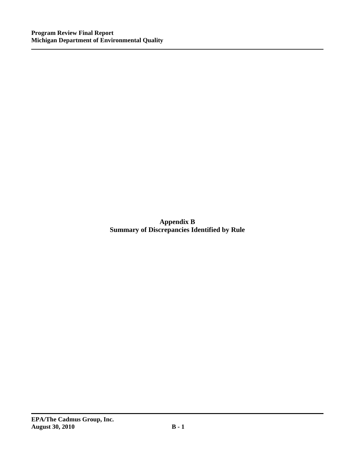**Appendix B Summary of Discrepancies Identified by Rule**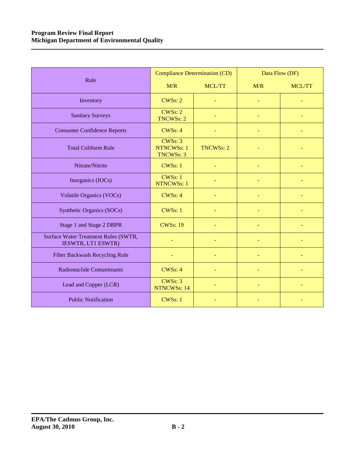|                                                            | <b>Compliance Determination (CD)</b>             |                  | Data Flow (DF) |               |
|------------------------------------------------------------|--------------------------------------------------|------------------|----------------|---------------|
| Rule                                                       | M/R                                              | <b>MCL/TT</b>    | M/R            | <b>MCL/TT</b> |
| Inventory                                                  | CWSs: 2                                          |                  |                |               |
| <b>Sanitary Surveys</b>                                    | CWSs: 2<br><b>TNCWSs: 2</b>                      |                  |                |               |
| <b>Consumer Confidence Reports</b>                         | CWS <sub>s</sub> : 4                             |                  |                |               |
| <b>Total Coliform Rule</b>                                 | CWSs: 3<br><b>NTNCWSs: 1</b><br><b>TNCWSs: 3</b> | <b>TNCWSs: 2</b> |                |               |
| Nitrate/Nitrite                                            | <b>CWSs: 1</b>                                   |                  |                |               |
| Inorganics (IOCs)                                          | CWSs: 1<br><b>NTNCWSs: 1</b>                     |                  |                |               |
| <b>Volatile Organics (VOCs)</b>                            | <b>CWSs: 4</b>                                   |                  |                |               |
| Synthetic Organics (SOCs)                                  | <b>CWSs: 1</b>                                   |                  |                |               |
| Stage 1 and Stage 2 DBPR                                   | <b>CWSs: 19</b>                                  |                  |                |               |
| Surface Water Treatment Rules (SWTR,<br>IESWTR, LT1 ESWTR) |                                                  |                  |                |               |
| Filter Backwash Recycling Rule                             |                                                  |                  |                |               |
| <b>Radionuclide Contaminants</b>                           | CWS <sub>s</sub> : 4                             |                  |                |               |
| Lead and Copper (LCR)                                      | CWSs: 3<br><b>NTNCWSs: 14</b>                    |                  |                |               |
| <b>Public Notification</b>                                 | CWSs: 1                                          |                  |                |               |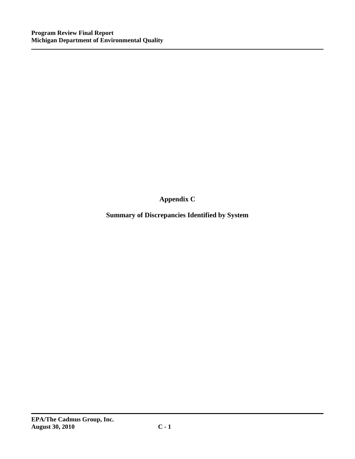**Appendix C** 

**Summary of Discrepancies Identified by System**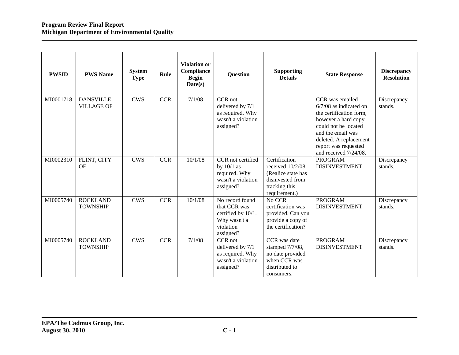| <b>PWSID</b> | <b>PWS Name</b>                    | <b>System</b><br><b>Type</b> | Rule       | <b>Violation or</b><br>Compliance<br><b>Begin</b><br>Date(s) | <b>Question</b>                                                                                 | <b>Supporting</b><br><b>Details</b>                                                                               | <b>State Response</b>                                                                                                                                                                                                 | <b>Discrepancy</b><br><b>Resolution</b> |
|--------------|------------------------------------|------------------------------|------------|--------------------------------------------------------------|-------------------------------------------------------------------------------------------------|-------------------------------------------------------------------------------------------------------------------|-----------------------------------------------------------------------------------------------------------------------------------------------------------------------------------------------------------------------|-----------------------------------------|
| MI0001718    | DANSVILLE,<br><b>VILLAGE OF</b>    | <b>CWS</b>                   | <b>CCR</b> | 7/1/08                                                       | CCR not<br>delivered by 7/1<br>as required. Why<br>wasn't a violation<br>assigned?              |                                                                                                                   | CCR was emailed<br>$6/7/08$ as indicated on<br>the certification form,<br>however a hard copy<br>could not be located<br>and the email was<br>deleted. A replacement<br>report was requested<br>and received 7/24/08. | Discrepancy<br>stands.                  |
| MI0002310    | FLINT, CITY<br>OF                  | <b>CWS</b>                   | <b>CCR</b> | 10/1/08                                                      | CCR not certified<br>by $10/1$ as<br>required. Why<br>wasn't a violation<br>assigned?           | Certification<br>received $10/2/08$ .<br>(Realize state has<br>disinvested from<br>tracking this<br>requirement.) | <b>PROGRAM</b><br><b>DISINVESTMENT</b>                                                                                                                                                                                | Discrepancy<br>stands.                  |
| MI0005740    | <b>ROCKLAND</b><br><b>TOWNSHIP</b> | <b>CWS</b>                   | CCR        | 10/1/08                                                      | No record found<br>that CCR was<br>certified by 10/1.<br>Why wasn't a<br>violation<br>assigned? | No CCR<br>certification was<br>provided. Can you<br>provide a copy of<br>the certification?                       | <b>PROGRAM</b><br><b>DISINVESTMENT</b>                                                                                                                                                                                | Discrepancy<br>stands.                  |
| MI0005740    | <b>ROCKLAND</b><br><b>TOWNSHIP</b> | <b>CWS</b>                   | <b>CCR</b> | 7/1/08                                                       | CCR not<br>delivered by 7/1<br>as required. Why<br>wasn't a violation<br>assigned?              | CCR was date<br>stamped 7/7/08,<br>no date provided<br>when CCR was<br>distributed to<br>consumers.               | <b>PROGRAM</b><br><b>DISINVESTMENT</b>                                                                                                                                                                                | Discrepancy<br>stands.                  |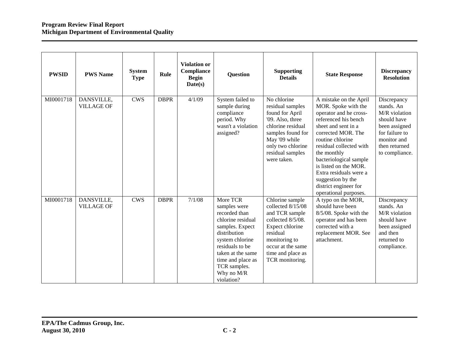| <b>PWSID</b> | <b>PWS Name</b>                 | <b>System</b><br><b>Type</b> | Rule        | <b>Violation or</b><br>Compliance<br><b>Begin</b><br>Date(s) | <b>Question</b>                                                                                                                                                                                                               | <b>Supporting</b><br><b>Details</b>                                                                                                                                                       | <b>State Response</b>                                                                                                                                                                                                                                                                                                                                          | <b>Discrepancy</b><br><b>Resolution</b>                                                                                                        |
|--------------|---------------------------------|------------------------------|-------------|--------------------------------------------------------------|-------------------------------------------------------------------------------------------------------------------------------------------------------------------------------------------------------------------------------|-------------------------------------------------------------------------------------------------------------------------------------------------------------------------------------------|----------------------------------------------------------------------------------------------------------------------------------------------------------------------------------------------------------------------------------------------------------------------------------------------------------------------------------------------------------------|------------------------------------------------------------------------------------------------------------------------------------------------|
| MI0001718    | DANSVILLE,<br><b>VILLAGE OF</b> | <b>CWS</b>                   | <b>DBPR</b> | 4/1/09                                                       | System failed to<br>sample during<br>compliance<br>period. Why<br>wasn't a violation<br>assigned?                                                                                                                             | No chlorine<br>residual samples<br>found for April<br>'09. Also, three<br>chlorine residual<br>samples found for<br>May '09 while<br>only two chlorine<br>residual samples<br>were taken. | A mistake on the April<br>MOR. Spoke with the<br>operator and he cross-<br>referenced his bench<br>sheet and sent in a<br>corrected MOR. The<br>routine chlorine<br>residual collected with<br>the monthly<br>bacteriological sample<br>is listed on the MOR.<br>Extra residuals were a<br>suggestion by the<br>district engineer for<br>operational purposes. | Discrepancy<br>stands. An<br>M/R violation<br>should have<br>been assigned<br>for failure to<br>monitor and<br>then returned<br>to compliance. |
| MI0001718    | DANSVILLE,<br><b>VILLAGE OF</b> | <b>CWS</b>                   | <b>DBPR</b> | 7/1/08                                                       | More TCR<br>samples were<br>recorded than<br>chlorine residual<br>samples. Expect<br>distribution<br>system chlorine<br>residuals to be<br>taken at the same<br>time and place as<br>TCR samples.<br>Why no M/R<br>violation? | Chlorine sample<br>collected 8/15/08<br>and TCR sample<br>collected 8/5/08.<br>Expect chlorine<br>residual<br>monitoring to<br>occur at the same<br>time and place as<br>TCR monitoring.  | A typo on the MOR,<br>should have been<br>8/5/08. Spoke with the<br>operator and has been<br>corrected with a<br>replacement MOR. See<br>attachment.                                                                                                                                                                                                           | Discrepancy<br>stands. An<br>M/R violation<br>should have<br>been assigned<br>and then<br>returned to<br>compliance.                           |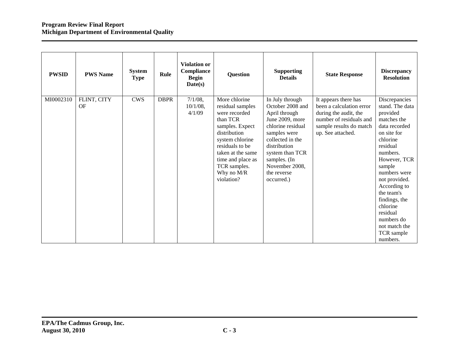| <b>PWSID</b> | <b>PWS Name</b>   | <b>System</b><br><b>Type</b> | Rule        | <b>Violation or</b><br>Compliance<br><b>Begin</b><br>Date(s) | Question                                                                                                                                                                                                                      | <b>Supporting</b><br><b>Details</b>                                                                                                                                                                                                | <b>State Response</b>                                                                                                                                | <b>Discrepancy</b><br><b>Resolution</b>                                                                                                                                                                                                                                                                                    |
|--------------|-------------------|------------------------------|-------------|--------------------------------------------------------------|-------------------------------------------------------------------------------------------------------------------------------------------------------------------------------------------------------------------------------|------------------------------------------------------------------------------------------------------------------------------------------------------------------------------------------------------------------------------------|------------------------------------------------------------------------------------------------------------------------------------------------------|----------------------------------------------------------------------------------------------------------------------------------------------------------------------------------------------------------------------------------------------------------------------------------------------------------------------------|
| MI0002310    | FLINT, CITY<br>OF | <b>CWS</b>                   | <b>DBPR</b> | $7/1/08$ ,<br>$10/1/08$ ,<br>4/1/09                          | More chlorine<br>residual samples<br>were recorded<br>than TCR<br>samples. Expect<br>distribution<br>system chlorine<br>residuals to be<br>taken at the same<br>time and place as<br>TCR samples.<br>Why no M/R<br>violation? | In July through<br>October 2008 and<br>April through<br>June 2009, more<br>chlorine residual<br>samples were<br>collected in the<br>distribution<br>system than TCR<br>samples. (In<br>November 2008,<br>the reverse<br>occurred.) | It appears there has<br>been a calculation error<br>during the audit, the<br>number of residuals and<br>sample results do match<br>up. See attached. | Discrepancies<br>stand. The data<br>provided<br>matches the<br>data recorded<br>on site for<br>chlorine<br>residual<br>numbers.<br>However, TCR<br>sample<br>numbers were<br>not provided.<br>According to<br>the team's<br>findings, the<br>chlorine<br>residual<br>numbers do<br>not match the<br>TCR sample<br>numbers. |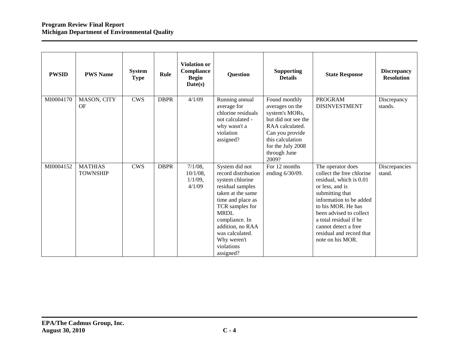| <b>PWSID</b> | <b>PWS Name</b>                   | <b>System</b><br><b>Type</b> | Rule        | <b>Violation or</b><br>Compliance<br><b>Begin</b><br>Date(s) | <b>Question</b>                                                                                                                                                                                                                                             | <b>Supporting</b><br><b>Details</b>                                                                                                                                               | <b>State Response</b>                                                                                                                                                                                                                                                                         | <b>Discrepancy</b><br><b>Resolution</b> |
|--------------|-----------------------------------|------------------------------|-------------|--------------------------------------------------------------|-------------------------------------------------------------------------------------------------------------------------------------------------------------------------------------------------------------------------------------------------------------|-----------------------------------------------------------------------------------------------------------------------------------------------------------------------------------|-----------------------------------------------------------------------------------------------------------------------------------------------------------------------------------------------------------------------------------------------------------------------------------------------|-----------------------------------------|
| MI0004170    | MASON, CITY<br><b>OF</b>          | <b>CWS</b>                   | <b>DBPR</b> | 4/1/09                                                       | Running annual<br>average for<br>chlorine residuals<br>not calculated -<br>why wasn't a<br>violation<br>assigned?                                                                                                                                           | Found monthly<br>averages on the<br>system's MORs,<br>but did not see the<br>RAA calculated.<br>Can you provide<br>this calculation<br>for the July 2008<br>through June<br>2009? | <b>PROGRAM</b><br><b>DISINVESTMENT</b>                                                                                                                                                                                                                                                        | Discrepancy<br>stands.                  |
| MI0004152    | <b>MATHIAS</b><br><b>TOWNSHIP</b> | <b>CWS</b>                   | <b>DBPR</b> | $7/1/08$ ,<br>$10/1/08$ ,<br>$1/1/09$ ,<br>4/1/09            | System did not<br>record distribution<br>system chlorine<br>residual samples<br>taken at the same<br>time and place as<br>TCR samples for<br><b>MRDL</b><br>compliance. In<br>addition, no RAA<br>was calculated.<br>Why weren't<br>violations<br>assigned? | For 12 months<br>ending 6/30/09.                                                                                                                                                  | The operator does<br>collect the free chlorine<br>residual, which is 0.01<br>or less, and is<br>submitting that<br>information to be added<br>to his MOR. He has<br>been advised to collect<br>a total residual if he<br>cannot detect a free<br>residual and record that<br>note on his MOR. | Discrepancies<br>stand.                 |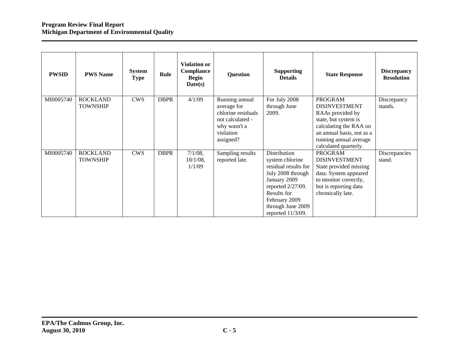| <b>PWSID</b> | <b>PWS Name</b>                    | <b>System</b><br><b>Type</b> | Rule        | <b>Violation or</b><br>Compliance<br><b>Begin</b><br>Date(s) | <b>Question</b>                                                                                                   | <b>Supporting</b><br><b>Details</b>                                                                                                                                                         | <b>State Response</b>                                                                                                                                                                        | <b>Discrepancy</b><br><b>Resolution</b> |
|--------------|------------------------------------|------------------------------|-------------|--------------------------------------------------------------|-------------------------------------------------------------------------------------------------------------------|---------------------------------------------------------------------------------------------------------------------------------------------------------------------------------------------|----------------------------------------------------------------------------------------------------------------------------------------------------------------------------------------------|-----------------------------------------|
| MI0005740    | <b>ROCKLAND</b><br><b>TOWNSHIP</b> | <b>CWS</b>                   | <b>DBPR</b> | 4/1/09                                                       | Running annual<br>average for<br>chlorine residuals<br>not calculated -<br>why wasn't a<br>violation<br>assigned? | For July 2008<br>through June<br>2009.                                                                                                                                                      | <b>PROGRAM</b><br><b>DISINVESTMENT</b><br>RAAs provided by<br>state, but system is<br>calculating the RAA on<br>an annual basis, not as a<br>running annual average<br>calculated quarterly. | Discrepancy<br>stands.                  |
| MI0005740    | <b>ROCKLAND</b><br><b>TOWNSHIP</b> | <b>CWS</b>                   | <b>DBPR</b> | $7/1/08$ ,<br>$10/1/08$ ,<br>1/1/09                          | Sampling results<br>reported late.                                                                                | Distribution<br>system chlorine<br>residual results for<br>July 2008 through<br>January 2009<br>reported 2/27/09.<br>Results for<br>February 2009<br>through June 2009<br>reported 11/3/09. | <b>PROGRAM</b><br><b>DISINVESTMENT</b><br>State provided missing<br>data. System appeared<br>to monitor correctly,<br>but is reporting data<br>chronically late.                             | Discrepancies<br>stand.                 |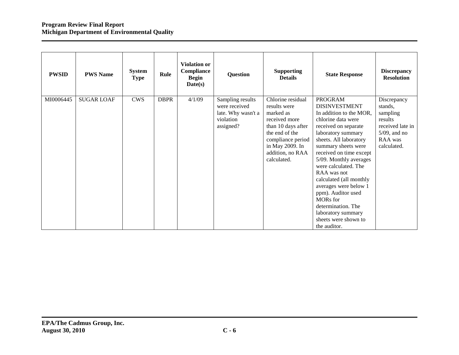| <b>PWSID</b> | <b>PWS Name</b>   | <b>System</b><br><b>Type</b> | Rule        | <b>Violation or</b><br>Compliance<br><b>Begin</b><br>Date(s) | <b>Question</b>                                                                   | <b>Supporting</b><br><b>Details</b>                                                                                                                                                | <b>State Response</b>                                                                                                                                                                                                                                                                                                                                                                                                                                               | <b>Discrepancy</b><br><b>Resolution</b>                                                                        |
|--------------|-------------------|------------------------------|-------------|--------------------------------------------------------------|-----------------------------------------------------------------------------------|------------------------------------------------------------------------------------------------------------------------------------------------------------------------------------|---------------------------------------------------------------------------------------------------------------------------------------------------------------------------------------------------------------------------------------------------------------------------------------------------------------------------------------------------------------------------------------------------------------------------------------------------------------------|----------------------------------------------------------------------------------------------------------------|
| MI0006445    | <b>SUGAR LOAF</b> | <b>CWS</b>                   | <b>DBPR</b> | 4/1/09                                                       | Sampling results<br>were received<br>late. Why wasn't a<br>violation<br>assigned? | Chlorine residual<br>results were<br>marked as<br>received more<br>than 10 days after<br>the end of the<br>compliance period<br>in May 2009. In<br>addition, no RAA<br>calculated. | <b>PROGRAM</b><br><b>DISINVESTMENT</b><br>In addition to the MOR,<br>chlorine data were<br>received on separate<br>laboratory summary<br>sheets. All laboratory<br>summary sheets were<br>received on time except<br>5/09. Monthly averages<br>were calculated. The<br>RAA was not<br>calculated (all monthly<br>averages were below 1<br>ppm). Auditor used<br><b>MORs</b> for<br>determination. The<br>laboratory summary<br>sheets were shown to<br>the auditor. | Discrepancy<br>stands,<br>sampling<br>results<br>received late in<br>$5/09$ , and no<br>RAA was<br>calculated. |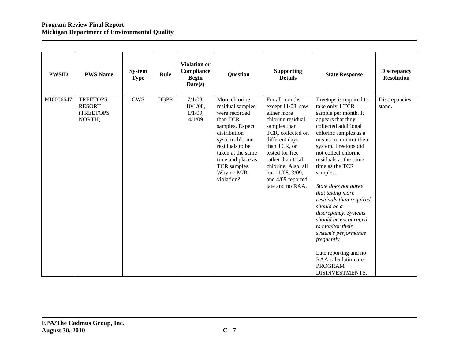| <b>PWSID</b> | <b>PWS Name</b>                                         | <b>System</b><br><b>Type</b> | Rule        | <b>Violation or</b><br>Compliance<br><b>Begin</b><br>Date(s) | <b>Question</b>                                                                                                                                                                                                               | <b>Supporting</b><br><b>Details</b>                                                                                                                                                                                                                                        | <b>State Response</b>                                                                                                                                                                                                                                                                                                                                                                                                                                                                                                                                            | <b>Discrepancy</b><br><b>Resolution</b> |
|--------------|---------------------------------------------------------|------------------------------|-------------|--------------------------------------------------------------|-------------------------------------------------------------------------------------------------------------------------------------------------------------------------------------------------------------------------------|----------------------------------------------------------------------------------------------------------------------------------------------------------------------------------------------------------------------------------------------------------------------------|------------------------------------------------------------------------------------------------------------------------------------------------------------------------------------------------------------------------------------------------------------------------------------------------------------------------------------------------------------------------------------------------------------------------------------------------------------------------------------------------------------------------------------------------------------------|-----------------------------------------|
| MI0006647    | <b>TREETOPS</b><br><b>RESORT</b><br>(TREETOPS<br>NORTH) | <b>CWS</b>                   | <b>DBPR</b> | $7/1/08$ ,<br>$10/1/08$ ,<br>$1/1/09$ ,<br>4/1/09            | More chlorine<br>residual samples<br>were recorded<br>than TCR<br>samples. Expect<br>distribution<br>system chlorine<br>residuals to be<br>taken at the same<br>time and place as<br>TCR samples.<br>Why no M/R<br>violation? | For all months<br>except 11/08, saw<br>either more<br>chlorine residual<br>samples than<br>TCR, collected on<br>different days<br>than TCR, or<br>tested for free<br>rather than total<br>chlorine. Also, all<br>but 11/08, 3/09,<br>and 4/09 reported<br>late and no RAA. | Treetops is required to<br>take only 1 TCR<br>sample per month. It<br>appears that they<br>collected additional<br>chlorine samples as a<br>means to monitor their<br>system. Treetops did<br>not collect chlorine<br>residuals at the same<br>time as the TCR<br>samples.<br>State does not agree<br>that taking more<br>residuals than required<br>should be a<br>discrepancy. Systems<br>should be encouraged<br>to monitor their<br>system's performance<br>frequently.<br>Late reporting and no<br>RAA calculation are<br><b>PROGRAM</b><br>DISINVESTMENTS. | Discrepancies<br>stand.                 |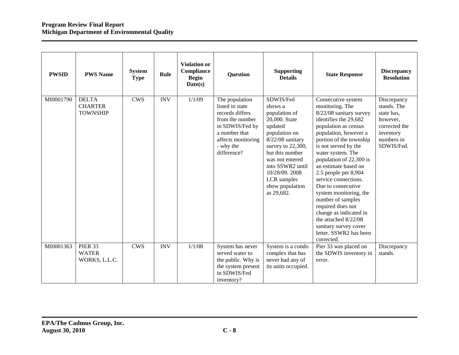| <b>PWSID</b> | <b>PWS Name</b>                                   | <b>System</b><br><b>Type</b> | Rule       | <b>Violation or</b><br>Compliance<br><b>Begin</b><br>Date(s) | <b>Question</b>                                                                                                                                               | <b>Supporting</b><br><b>Details</b>                                                                                                                                                                                                                      | <b>State Response</b>                                                                                                                                                                                                                                                                                                                                                                                                                                                                                                              | <b>Discrepancy</b><br><b>Resolution</b>                                                                        |
|--------------|---------------------------------------------------|------------------------------|------------|--------------------------------------------------------------|---------------------------------------------------------------------------------------------------------------------------------------------------------------|----------------------------------------------------------------------------------------------------------------------------------------------------------------------------------------------------------------------------------------------------------|------------------------------------------------------------------------------------------------------------------------------------------------------------------------------------------------------------------------------------------------------------------------------------------------------------------------------------------------------------------------------------------------------------------------------------------------------------------------------------------------------------------------------------|----------------------------------------------------------------------------------------------------------------|
| MI0001790    | <b>DELTA</b><br><b>CHARTER</b><br><b>TOWNSHIP</b> | <b>CWS</b>                   | <b>INV</b> | 1/1/09                                                       | The population<br>listed in state<br>records differs<br>from the number<br>in SDWIS/Fed by<br>a number that<br>affects monitoring<br>- why the<br>difference? | SDWIS/Fed<br>shows a<br>population of<br>20,000. State<br>updated<br>population on<br>$8/22/08$ sanitary<br>survey to 22,300,<br>but this number<br>was not entered<br>into SSWR2 until<br>10/28/09.2008<br>LCR samples<br>show population<br>as 29,682. | Consecutive system<br>monitoring. The<br>8/22/08 sanitary survey<br>identifies the 29,682<br>population as census<br>population, however a<br>portion of the township<br>is not served by the<br>water system. The<br>population of 22,300 is<br>an estimate based on<br>2.5 people per 8,904<br>service connections.<br>Due to consecutive<br>system monitoring, the<br>number of samples<br>required does not<br>change as indicated in<br>the attached 8/22/08<br>sanitary survey cover<br>letter. SSWR2 has been<br>corrected. | Discrepancy<br>stands. The<br>state has,<br>however,<br>corrected the<br>inventory<br>numbers in<br>SDWIS/Fed. |
| MI0001363    | <b>PIER 33</b><br><b>WATER</b><br>WORKS, L.L.C.   | <b>CWS</b>                   | <b>INV</b> | 1/1/08                                                       | System has never<br>served water to<br>the public. Why is<br>the system present<br>in SDWIS/Fed<br>inventory?                                                 | System is a condo<br>complex that has<br>never had any of<br>its units occupied.                                                                                                                                                                         | Pier 33 was placed on<br>the SDWIS inventory in<br>error.                                                                                                                                                                                                                                                                                                                                                                                                                                                                          | Discrepancy<br>stands.                                                                                         |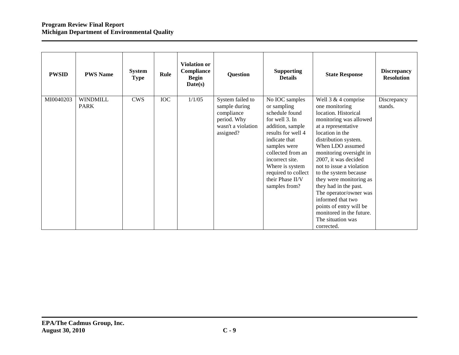| <b>PWSID</b> | <b>PWS Name</b>                | <b>System</b><br><b>Type</b> | Rule       | <b>Violation or</b><br>Compliance<br><b>Begin</b><br>Date(s) | <b>Question</b>                                                                                   | <b>Supporting</b><br><b>Details</b>                                                                                                                                                                                                                                 | <b>State Response</b>                                                                                                                                                                                                                                                                                                                                                                                                                                                                 | <b>Discrepancy</b><br><b>Resolution</b> |
|--------------|--------------------------------|------------------------------|------------|--------------------------------------------------------------|---------------------------------------------------------------------------------------------------|---------------------------------------------------------------------------------------------------------------------------------------------------------------------------------------------------------------------------------------------------------------------|---------------------------------------------------------------------------------------------------------------------------------------------------------------------------------------------------------------------------------------------------------------------------------------------------------------------------------------------------------------------------------------------------------------------------------------------------------------------------------------|-----------------------------------------|
| MI0040203    | <b>WINDMILL</b><br><b>PARK</b> | <b>CWS</b>                   | <b>IOC</b> | 1/1/05                                                       | System failed to<br>sample during<br>compliance<br>period. Why<br>wasn't a violation<br>assigned? | No IOC samples<br>or sampling<br>schedule found<br>for well 3. In<br>addition, sample<br>results for well 4<br>indicate that<br>samples were<br>collected from an<br>incorrect site.<br>Where is system<br>required to collect<br>their Phase II/V<br>samples from? | Well $3 \& 4$ comprise<br>one monitoring<br>location. Historical<br>monitoring was allowed<br>at a representative<br>location in the<br>distribution system.<br>When LDO assumed<br>monitoring oversight in<br>2007, it was decided<br>not to issue a violation<br>to the system because<br>they were monitoring as<br>they had in the past.<br>The operator/owner was<br>informed that two<br>points of entry will be<br>monitored in the future.<br>The situation was<br>corrected. | Discrepancy<br>stands.                  |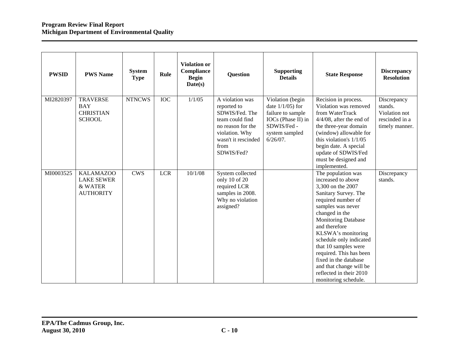| <b>PWSID</b> | <b>PWS Name</b>                                                      | <b>System</b><br><b>Type</b> | Rule       | Violation or<br>Compliance<br><b>Begin</b><br>Date(s) | <b>Question</b>                                                                                                                                         | <b>Supporting</b><br><b>Details</b>                                                                                                | <b>State Response</b>                                                                                                                                                                                                                                                                                                                                                                                        | <b>Discrepancy</b><br><b>Resolution</b>                                     |
|--------------|----------------------------------------------------------------------|------------------------------|------------|-------------------------------------------------------|---------------------------------------------------------------------------------------------------------------------------------------------------------|------------------------------------------------------------------------------------------------------------------------------------|--------------------------------------------------------------------------------------------------------------------------------------------------------------------------------------------------------------------------------------------------------------------------------------------------------------------------------------------------------------------------------------------------------------|-----------------------------------------------------------------------------|
| MI2820397    | <b>TRAVERSE</b><br><b>BAY</b><br><b>CHRISTIAN</b><br><b>SCHOOL</b>   | <b>NTNCWS</b>                | <b>IOC</b> | 1/1/05                                                | A violation was<br>reported to<br>SDWIS/Fed. The<br>team could find<br>no reason for the<br>violation. Why<br>wasn't it rescinded<br>from<br>SDWIS/Fed? | Violation (begin<br>date $1/1/05$ ) for<br>failure to sample<br>IOCs (Phase II) in<br>SDWIS/Fed -<br>system sampled<br>$6/26/07$ . | Recision in process.<br>Violation was removed<br>from WaterTrack<br>$4/4/08$ , after the end of<br>the three-year domain<br>(window) allowable for<br>this violation's $1/1/05$<br>begin date. A special<br>update of SDWIS/Fed<br>must be designed and<br>implemented.                                                                                                                                      | Discrepancy<br>stands.<br>Violation not<br>rescinded in a<br>timely manner. |
| MI0003525    | <b>KALAMAZOO</b><br><b>LAKE SEWER</b><br>& WATER<br><b>AUTHORITY</b> | <b>CWS</b>                   | <b>LCR</b> | 10/1/08                                               | System collected<br>only 10 of 20<br>required LCR<br>samples in 2008.<br>Why no violation<br>assigned?                                                  |                                                                                                                                    | The population was<br>increased to above<br>3,300 on the 2007<br>Sanitary Survey. The<br>required number of<br>samples was never<br>changed in the<br><b>Monitoring Database</b><br>and therefore<br>KLSWA's monitoring<br>schedule only indicated<br>that 10 samples were<br>required. This has been<br>fixed in the database<br>and that change will be<br>reflected in their 2010<br>monitoring schedule. | Discrepancy<br>stands.                                                      |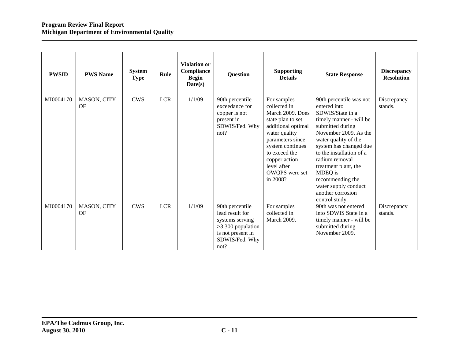| <b>PWSID</b> | <b>PWS Name</b>   | <b>System</b><br><b>Type</b> | Rule       | <b>Violation or</b><br>Compliance<br><b>Begin</b><br>Date(s) | <b>Question</b>                                                                                                             | <b>Supporting</b><br><b>Details</b>                                                                                                                                                                                                | <b>State Response</b>                                                                                                                                                                                                                                                                                                                                     | <b>Discrepancy</b><br><b>Resolution</b> |
|--------------|-------------------|------------------------------|------------|--------------------------------------------------------------|-----------------------------------------------------------------------------------------------------------------------------|------------------------------------------------------------------------------------------------------------------------------------------------------------------------------------------------------------------------------------|-----------------------------------------------------------------------------------------------------------------------------------------------------------------------------------------------------------------------------------------------------------------------------------------------------------------------------------------------------------|-----------------------------------------|
| MI0004170    | MASON, CITY<br>OF | <b>CWS</b>                   | <b>LCR</b> | 1/1/09                                                       | 90th percentile<br>exceedance for<br>copper is not<br>present in<br>SDWIS/Fed. Why<br>not?                                  | For samples<br>collected in<br>March 2009. Does<br>state plan to set<br>additional optimal<br>water quality<br>parameters since<br>system continues<br>to exceed the<br>copper action<br>level after<br>OWQPS were set<br>in 2008? | 90th percentile was not<br>entered into<br>SDWIS/State in a<br>timely manner - will be<br>submitted during<br>November 2009. As the<br>water quality of the<br>system has changed due<br>to the installation of a<br>radium removal<br>treatment plant, the<br>MDEQ is<br>recommending the<br>water supply conduct<br>another corrosion<br>control study. | Discrepancy<br>stands.                  |
| MI0004170    | MASON, CITY<br>OF | <b>CWS</b>                   | <b>LCR</b> | 1/1/09                                                       | 90th percentile<br>lead result for<br>systems serving<br>$>3,300$ population<br>is not present in<br>SDWIS/Fed. Why<br>not? | For samples<br>collected in<br>March 2009.                                                                                                                                                                                         | 90th was not entered<br>into SDWIS State in a<br>timely manner - will be<br>submitted during<br>November 2009.                                                                                                                                                                                                                                            | Discrepancy<br>stands.                  |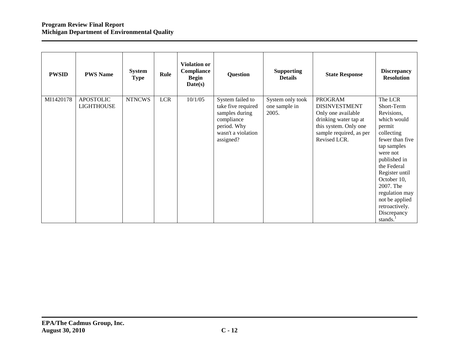| <b>PWSID</b> | <b>PWS Name</b>                       | <b>System</b><br><b>Type</b> | Rule       | <b>Violation or</b><br>Compliance<br><b>Begin</b><br>Date(s) | Question                                                                                                                 | <b>Supporting</b><br><b>Details</b>        | <b>State Response</b>                                                                                                                                     | <b>Discrepancy</b><br><b>Resolution</b>                                                                                                                                                                                                                                               |
|--------------|---------------------------------------|------------------------------|------------|--------------------------------------------------------------|--------------------------------------------------------------------------------------------------------------------------|--------------------------------------------|-----------------------------------------------------------------------------------------------------------------------------------------------------------|---------------------------------------------------------------------------------------------------------------------------------------------------------------------------------------------------------------------------------------------------------------------------------------|
| MI1420178    | <b>APOSTOLIC</b><br><b>LIGHTHOUSE</b> | <b>NTNCWS</b>                | <b>LCR</b> | 10/1/05                                                      | System failed to<br>take five required<br>samples during<br>compliance<br>period. Why<br>wasn't a violation<br>assigned? | System only took<br>one sample in<br>2005. | <b>PROGRAM</b><br><b>DISINVESTMENT</b><br>Only one available<br>drinking water tap at<br>this system. Only one<br>sample required, as per<br>Revised LCR. | The LCR<br>Short-Term<br>Revisions,<br>which would<br>permit<br>collecting<br>fewer than five<br>tap samples<br>were not<br>published in<br>the Federal<br>Register until<br>October 10,<br>2007. The<br>regulation may<br>not be applied<br>retroactively.<br>Discrepancy<br>stands. |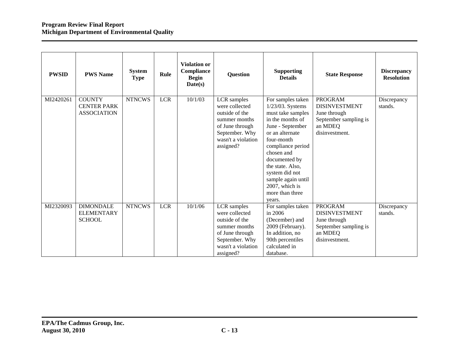| <b>PWSID</b> | <b>PWS Name</b>                                           | System<br><b>Type</b> | Rule       | <b>Violation or</b><br>Compliance<br><b>Begin</b><br>Date(s) | Question                                                                                                                                 | <b>Supporting</b><br><b>Details</b>                                                                                                                                                                                                                                                                | <b>State Response</b>                                                                                        | <b>Discrepancy</b><br><b>Resolution</b> |
|--------------|-----------------------------------------------------------|-----------------------|------------|--------------------------------------------------------------|------------------------------------------------------------------------------------------------------------------------------------------|----------------------------------------------------------------------------------------------------------------------------------------------------------------------------------------------------------------------------------------------------------------------------------------------------|--------------------------------------------------------------------------------------------------------------|-----------------------------------------|
| MI2420261    | <b>COUNTY</b><br><b>CENTER PARK</b><br><b>ASSOCIATION</b> | <b>NTNCWS</b>         | <b>LCR</b> | 10/1/03                                                      | LCR samples<br>were collected<br>outside of the<br>summer months<br>of June through<br>September. Why<br>wasn't a violation<br>assigned? | For samples taken<br>1/23/03. Systems<br>must take samples<br>in the months of<br>June - September<br>or an alternate<br>four-month<br>compliance period<br>chosen and<br>documented by<br>the state. Also,<br>system did not<br>sample again until<br>2007, which is<br>more than three<br>years. | <b>PROGRAM</b><br><b>DISINVESTMENT</b><br>June through<br>September sampling is<br>an MDEQ<br>disinvestment. | Discrepancy<br>stands.                  |
| MI2320093    | <b>DIMONDALE</b><br><b>ELEMENTARY</b><br><b>SCHOOL</b>    | <b>NTNCWS</b>         | <b>LCR</b> | 10/1/06                                                      | LCR samples<br>were collected<br>outside of the<br>summer months<br>of June through<br>September. Why<br>wasn't a violation<br>assigned? | For samples taken<br>in 2006<br>(December) and<br>2009 (February).<br>In addition, no<br>90th percentiles<br>calculated in<br>database.                                                                                                                                                            | <b>PROGRAM</b><br><b>DISINVESTMENT</b><br>June through<br>September sampling is<br>an MDEQ<br>disinvestment. | Discrepancy<br>stands.                  |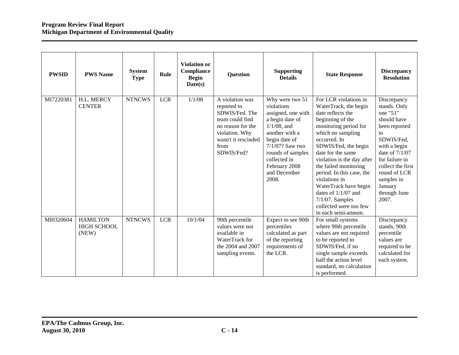| <b>PWSID</b> | <b>PWS Name</b>                                | <b>System</b><br><b>Type</b> | Rule       | <b>Violation or</b><br><b>Compliance</b><br><b>Begin</b><br>Date(s) | <b>Question</b>                                                                                                                                         | <b>Supporting</b><br><b>Details</b>                                                                                                                                                                                           | <b>State Response</b>                                                                                                                                                                                                                                                                                                                                                                                                            | <b>Discrepancy</b><br><b>Resolution</b>                                                                                                                                                                                                  |
|--------------|------------------------------------------------|------------------------------|------------|---------------------------------------------------------------------|---------------------------------------------------------------------------------------------------------------------------------------------------------|-------------------------------------------------------------------------------------------------------------------------------------------------------------------------------------------------------------------------------|----------------------------------------------------------------------------------------------------------------------------------------------------------------------------------------------------------------------------------------------------------------------------------------------------------------------------------------------------------------------------------------------------------------------------------|------------------------------------------------------------------------------------------------------------------------------------------------------------------------------------------------------------------------------------------|
| MI7220381    | H.L. MERCY<br><b>CENTER</b>                    | <b>NTNCWS</b>                | <b>LCR</b> | 1/1/08                                                              | A violation was<br>reported to<br>SDWIS/Fed. The<br>team could find<br>no reason for the<br>violation. Why<br>wasn't it rescinded<br>from<br>SDWIS/Fed? | Why were two 51<br>violations<br>assigned, one with<br>a begin date of<br>$1/1/08$ , and<br>another with a<br>begin date of<br>7/1/07? Saw two<br>rounds of samples<br>collected in<br>February 2008<br>and December<br>2008. | For LCR violations in<br>WaterTrack, the begin<br>date reflects the<br>beginning of the<br>monitoring period for<br>which no sampling<br>occurred. In<br>SDWIS/Fed, the begin<br>date for the same<br>violation is the day after<br>the failed monitoring<br>period. In this case, the<br>violations in<br>WaterTrack have begin<br>dates of $1/1/07$ and<br>$7/1/07$ . Samples<br>collected were too few<br>in each semi-annum. | Discrepancy<br>stands. Only<br>one "51"<br>should have<br>been reported<br>to<br>SDWIS/Fed,<br>with a begin<br>date of $7/1/07$<br>for failure to<br>collect the first<br>round of LCR<br>samples in<br>January<br>through June<br>2007. |
| MI0320604    | <b>HAMILTON</b><br><b>HIGH SCHOOL</b><br>(NEW) | <b>NTNCWS</b>                | <b>LCR</b> | 10/1/04                                                             | 90th percentile<br>values were not<br>available in<br>WaterTrack for<br>the 2004 and 2007<br>sampling events.                                           | Expect to see 90th<br>percentiles<br>calculated as part<br>of the reporting<br>requirements of<br>the LCR.                                                                                                                    | For small systems<br>where 90th percentile<br>values are not required<br>to be reported to<br>SDWIS/Fed, if no<br>single sample exceeds<br>half the action level<br>standard, no calculation<br>is performed.                                                                                                                                                                                                                    | Discrepancy<br>stands, 90th<br>percentile<br>values are<br>required to be<br>calculated for<br>each system.                                                                                                                              |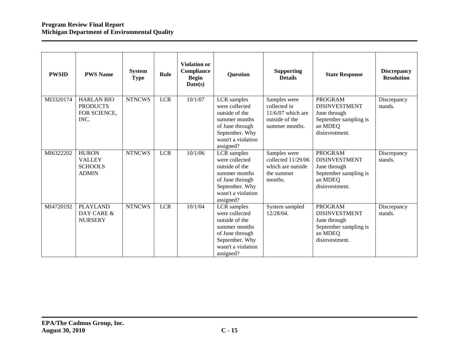| <b>PWSID</b> | <b>PWS Name</b>                                                 | <b>System</b><br><b>Type</b> | Rule       | <b>Violation or</b><br>Compliance<br><b>Begin</b><br>Date(s) | <b>Question</b>                                                                                                                          | <b>Supporting</b><br><b>Details</b>                                                     | <b>State Response</b>                                                                                        | <b>Discrepancy</b><br><b>Resolution</b> |
|--------------|-----------------------------------------------------------------|------------------------------|------------|--------------------------------------------------------------|------------------------------------------------------------------------------------------------------------------------------------------|-----------------------------------------------------------------------------------------|--------------------------------------------------------------------------------------------------------------|-----------------------------------------|
| MI3320174    | <b>HARLAN BIO</b><br><b>PRODUCTS</b><br>FOR SCIENCE,<br>INC.    | <b>NTNCWS</b>                | <b>LCR</b> | 10/1/07                                                      | LCR samples<br>were collected<br>outside of the<br>summer months<br>of June through<br>September. Why<br>wasn't a violation<br>assigned? | Samples were<br>collected in<br>$11/6/07$ which are<br>outside of the<br>summer months. | <b>PROGRAM</b><br><b>DISINVESTMENT</b><br>June through<br>September sampling is<br>an MDEQ<br>disinvestment. | Discrepancy<br>stands.                  |
| MI6322202    | <b>HURON</b><br><b>VALLEY</b><br><b>SCHOOLS</b><br><b>ADMIN</b> | <b>NTNCWS</b>                | <b>LCR</b> | 10/1/06                                                      | LCR samples<br>were collected<br>outside of the<br>summer months<br>of June through<br>September. Why<br>wasn't a violation<br>assigned? | Samples were<br>collected 11/29/06<br>which are outside<br>the summer<br>months.        | <b>PROGRAM</b><br><b>DISINVESTMENT</b><br>June through<br>September sampling is<br>an MDEQ<br>disinvestment. | Discrepancy<br>stands.                  |
| MI4720192    | <b>PLAYLAND</b><br>DAY CARE &<br><b>NURSERY</b>                 | <b>NTNCWS</b>                | <b>LCR</b> | 10/1/04                                                      | LCR samples<br>were collected<br>outside of the<br>summer months<br>of June through<br>September. Why<br>wasn't a violation<br>assigned? | System sampled<br>12/28/04.                                                             | <b>PROGRAM</b><br><b>DISINVESTMENT</b><br>June through<br>September sampling is<br>an MDEQ<br>disinvestment. | Discrepancy<br>stands.                  |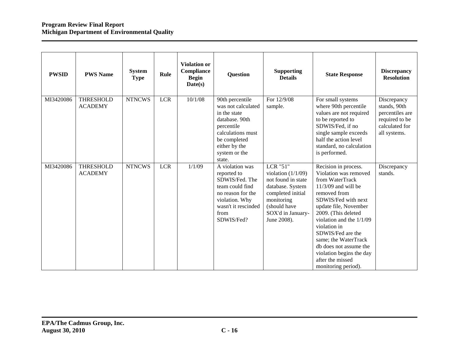| <b>PWSID</b> | <b>PWS Name</b>                    | <b>System</b><br><b>Type</b> | Rule       | <b>Violation or</b><br>Compliance<br><b>Begin</b><br>Date(s) | <b>Question</b>                                                                                                                                                        | <b>Supporting</b><br><b>Details</b>                                                                                                                                      | <b>State Response</b>                                                                                                                                                                                                                                                                                                                                                      | <b>Discrepancy</b><br><b>Resolution</b>                                                            |
|--------------|------------------------------------|------------------------------|------------|--------------------------------------------------------------|------------------------------------------------------------------------------------------------------------------------------------------------------------------------|--------------------------------------------------------------------------------------------------------------------------------------------------------------------------|----------------------------------------------------------------------------------------------------------------------------------------------------------------------------------------------------------------------------------------------------------------------------------------------------------------------------------------------------------------------------|----------------------------------------------------------------------------------------------------|
| MI3420086    | <b>THRESHOLD</b><br><b>ACADEMY</b> | <b>NTNCWS</b>                | <b>LCR</b> | 10/1/08                                                      | 90th percentile<br>was not calculated<br>in the state<br>database. 90th<br>percentile<br>calculations must<br>be completed<br>either by the<br>system or the<br>state. | For 12/9/08<br>sample.                                                                                                                                                   | For small systems<br>where 90th percentile<br>values are not required<br>to be reported to<br>SDWIS/Fed, if no<br>single sample exceeds<br>half the action level<br>standard, no calculation<br>is performed.                                                                                                                                                              | Discrepancy<br>stands, 90th<br>percentiles are<br>required to be<br>calculated for<br>all systems. |
| MI3420086    | <b>THRESHOLD</b><br><b>ACADEMY</b> | <b>NTNCWS</b>                | <b>LCR</b> | 1/1/09                                                       | A violation was<br>reported to<br>SDWIS/Fed. The<br>team could find<br>no reason for the<br>violation. Why<br>wasn't it rescinded<br>from<br>SDWIS/Fed?                | <b>LCR "51"</b><br>violation $(1/1/09)$<br>not found in state<br>database. System<br>completed initial<br>monitoring<br>(should have<br>SOX'd in January-<br>June 2008). | Recision in process.<br>Violation was removed<br>from WaterTrack<br>$11/3/09$ and will be<br>removed from<br>SDWIS/Fed with next<br>update file, November<br>2009. (This deleted<br>violation and the 1/1/09<br>violation in<br>SDWIS/Fed are the<br>same; the WaterTrack<br>db does not assume the<br>violation begins the day<br>after the missed<br>monitoring period). | Discrepancy<br>stands.                                                                             |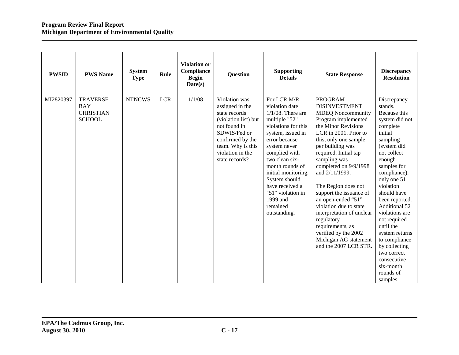| <b>PWSID</b> | <b>PWS Name</b>                                                    | <b>System</b><br><b>Type</b> | Rule       | <b>Violation or</b><br>Compliance<br><b>Begin</b><br>Date(s) | <b>Question</b>                                                                                                                                                                          | <b>Supporting</b><br><b>Details</b>                                                                                                                                                                                                                                                                                               | <b>State Response</b>                                                                                                                                                                                                                                                                                                                                                                                                                                                                                                 | <b>Discrepancy</b><br><b>Resolution</b>                                                                                                                                                                                                                                                                                                                                                                                 |
|--------------|--------------------------------------------------------------------|------------------------------|------------|--------------------------------------------------------------|------------------------------------------------------------------------------------------------------------------------------------------------------------------------------------------|-----------------------------------------------------------------------------------------------------------------------------------------------------------------------------------------------------------------------------------------------------------------------------------------------------------------------------------|-----------------------------------------------------------------------------------------------------------------------------------------------------------------------------------------------------------------------------------------------------------------------------------------------------------------------------------------------------------------------------------------------------------------------------------------------------------------------------------------------------------------------|-------------------------------------------------------------------------------------------------------------------------------------------------------------------------------------------------------------------------------------------------------------------------------------------------------------------------------------------------------------------------------------------------------------------------|
| MI2820397    | <b>TRAVERSE</b><br><b>BAY</b><br><b>CHRISTIAN</b><br><b>SCHOOL</b> | <b>NTNCWS</b>                | <b>LCR</b> | 1/1/08                                                       | Violation was<br>assigned in the<br>state records<br>(violation list) but<br>not found in<br>SDWIS/Fed or<br>confirmed by the<br>team. Why is this<br>violation in the<br>state records? | For LCR M/R<br>violation date<br>$1/1/08$ . There are<br>multiple "52"<br>violations for this<br>system, issued in<br>error because<br>system never<br>complied with<br>two clean six-<br>month rounds of<br>initial monitoring.<br>System should<br>have received a<br>"51" violation in<br>1999 and<br>remained<br>outstanding. | <b>PROGRAM</b><br><b>DISINVESTMENT</b><br><b>MDEQ Noncommunity</b><br>Program implemented<br>the Minor Revisions<br>LCR in 2001. Prior to<br>this, only one sample<br>per building was<br>required. Initial tap<br>sampling was<br>completed on 9/9/1998<br>and 2/11/1999.<br>The Region does not<br>support the issuance of<br>an open-ended "51"<br>violation due to state<br>interpretation of unclear<br>regulatory<br>requirements, as<br>verified by the 2002<br>Michigan AG statement<br>and the 2007 LCR STR. | Discrepancy<br>stands.<br>Because this<br>system did not<br>complete<br>initial<br>sampling<br>(system did<br>not collect<br>enough<br>samples for<br>compliance),<br>only one 51<br>violation<br>should have<br>been reported.<br>Additional 52<br>violations are<br>not required<br>until the<br>system returns<br>to compliance<br>by collecting<br>two correct<br>consecutive<br>six-month<br>rounds of<br>samples. |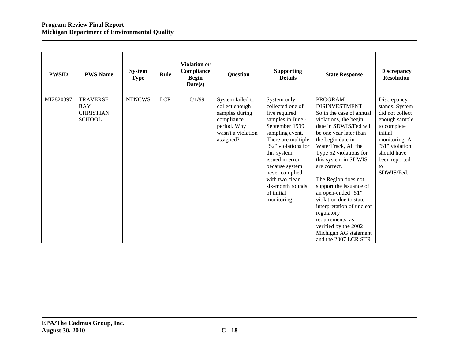| <b>PWSID</b> | <b>PWS Name</b>                                                    | <b>System</b><br><b>Type</b> | Rule       | <b>Violation or</b><br>Compliance<br><b>Begin</b><br>Date(s) | Question                                                                                                             | <b>Supporting</b><br><b>Details</b>                                                                                                                                                                                                                                                               | <b>State Response</b>                                                                                                                                                                                                                                                                                                                                                                                                                                                                                    | <b>Discrepancy</b><br><b>Resolution</b>                                                                                                                                            |
|--------------|--------------------------------------------------------------------|------------------------------|------------|--------------------------------------------------------------|----------------------------------------------------------------------------------------------------------------------|---------------------------------------------------------------------------------------------------------------------------------------------------------------------------------------------------------------------------------------------------------------------------------------------------|----------------------------------------------------------------------------------------------------------------------------------------------------------------------------------------------------------------------------------------------------------------------------------------------------------------------------------------------------------------------------------------------------------------------------------------------------------------------------------------------------------|------------------------------------------------------------------------------------------------------------------------------------------------------------------------------------|
| MI2820397    | <b>TRAVERSE</b><br><b>BAY</b><br><b>CHRISTIAN</b><br><b>SCHOOL</b> | <b>NTNCWS</b>                | <b>LCR</b> | 10/1/99                                                      | System failed to<br>collect enough<br>samples during<br>compliance<br>period. Why<br>wasn't a violation<br>assigned? | System only<br>collected one of<br>five required<br>samples in June -<br>September 1999<br>sampling event.<br>There are multiple<br>"52" violations for<br>this system,<br>issued in error<br>because system<br>never complied<br>with two clean<br>six-month rounds<br>of initial<br>monitoring. | <b>PROGRAM</b><br><b>DISINVESTMENT</b><br>So in the case of annual<br>violations, the begin<br>date in SDWIS/Fed will<br>be one year later than<br>the begin date in<br>WaterTrack, All the<br>Type 52 violations for<br>this system in SDWIS<br>are correct.<br>The Region does not<br>support the issuance of<br>an open-ended "51"<br>violation due to state<br>interpretation of unclear<br>regulatory<br>requirements, as<br>verified by the 2002<br>Michigan AG statement<br>and the 2007 LCR STR. | Discrepancy<br>stands. System<br>did not collect<br>enough sample<br>to complete<br>initial<br>monitoring. A<br>"51" violation<br>should have<br>been reported<br>to<br>SDWIS/Fed. |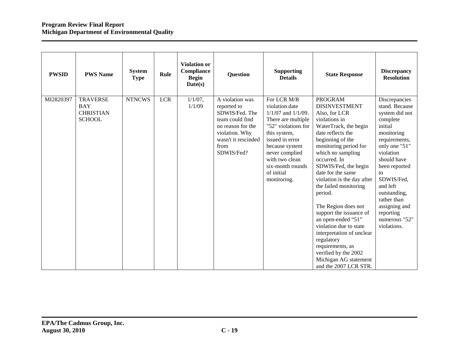| <b>PWSID</b> | <b>PWS Name</b>                                                    | <b>System</b><br><b>Type</b> | Rule       | <b>Violation or</b><br>Compliance<br><b>Begin</b><br>Date(s) | <b>Question</b>                                                                                                                                         | <b>Supporting</b><br><b>Details</b>                                                                                                                                                                                                             | <b>State Response</b>                                                                                                                                                                                                                                                                                                                                                                                                                                                                                                                                              | <b>Discrepancy</b><br><b>Resolution</b>                                                                                                                                                                                                                                                            |
|--------------|--------------------------------------------------------------------|------------------------------|------------|--------------------------------------------------------------|---------------------------------------------------------------------------------------------------------------------------------------------------------|-------------------------------------------------------------------------------------------------------------------------------------------------------------------------------------------------------------------------------------------------|--------------------------------------------------------------------------------------------------------------------------------------------------------------------------------------------------------------------------------------------------------------------------------------------------------------------------------------------------------------------------------------------------------------------------------------------------------------------------------------------------------------------------------------------------------------------|----------------------------------------------------------------------------------------------------------------------------------------------------------------------------------------------------------------------------------------------------------------------------------------------------|
| MI2820397    | <b>TRAVERSE</b><br><b>BAY</b><br><b>CHRISTIAN</b><br><b>SCHOOL</b> | <b>NTNCWS</b>                | <b>LCR</b> | $1/1/07$ ,<br>1/1/09                                         | A violation was<br>reported to<br>SDWIS/Fed. The<br>team could find<br>no reason for the<br>violation. Why<br>wasn't it rescinded<br>from<br>SDWIS/Fed? | For LCR M/R<br>violation date<br>$1/1/07$ and $1/1/09$ .<br>There are multiple<br>"52" violations for<br>this system,<br>issued in error<br>because system<br>never complied<br>with two clean<br>six-month rounds<br>of initial<br>monitoring. | <b>PROGRAM</b><br><b>DISINVESTMENT</b><br>Also, for LCR<br>violations in<br>WaterTrack, the begin<br>date reflects the<br>beginning of the<br>monitoring period for<br>which no sampling<br>occurred. In<br>SDWIS/Fed, the begin<br>date for the same<br>violation is the day after<br>the failed monitoring<br>period.<br>The Region does not<br>support the issuance of<br>an open-ended "51"<br>violation due to state<br>interpretation of unclear<br>regulatory<br>requirements, as<br>verified by the 2002<br>Michigan AG statement<br>and the 2007 LCR STR. | Discrepancies<br>stand. Because<br>system did not<br>complete<br>initial<br>monitoring<br>requirements,<br>only one "51"<br>violation<br>should have<br>been reported<br>to<br>SDWIS/Fed,<br>and left<br>outstanding,<br>rather than<br>assigning and<br>reporting<br>numerous "52"<br>violations. |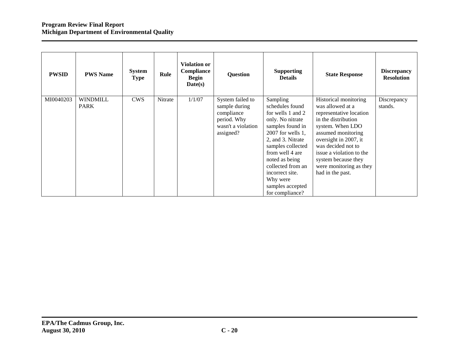| <b>PWSID</b> | <b>PWS Name</b>         | <b>System</b><br><b>Type</b> | Rule    | <b>Violation or</b><br>Compliance<br><b>Begin</b><br>$\textbf{Date}(s)$ | Question                                                                                          | <b>Supporting</b><br><b>Details</b>                                                                                                                                                                                                                                                       | <b>State Response</b>                                                                                                                                                                                                                                                                  | <b>Discrepancy</b><br><b>Resolution</b> |
|--------------|-------------------------|------------------------------|---------|-------------------------------------------------------------------------|---------------------------------------------------------------------------------------------------|-------------------------------------------------------------------------------------------------------------------------------------------------------------------------------------------------------------------------------------------------------------------------------------------|----------------------------------------------------------------------------------------------------------------------------------------------------------------------------------------------------------------------------------------------------------------------------------------|-----------------------------------------|
| MI0040203    | WINDMILL<br><b>PARK</b> | <b>CWS</b>                   | Nitrate | 1/1/07                                                                  | System failed to<br>sample during<br>compliance<br>period. Why<br>wasn't a violation<br>assigned? | Sampling<br>schedules found<br>for wells 1 and 2<br>only. No nitrate<br>samples found in<br>$2007$ for wells 1,<br>2, and 3. Nitrate<br>samples collected<br>from well 4 are<br>noted as being<br>collected from an<br>incorrect site.<br>Why were<br>samples accepted<br>for compliance? | Historical monitoring<br>was allowed at a<br>representative location<br>in the distribution<br>system. When LDO<br>assumed monitoring<br>oversight in 2007, it<br>was decided not to<br>issue a violation to the<br>system because they<br>were monitoring as they<br>had in the past. | Discrepancy<br>stands.                  |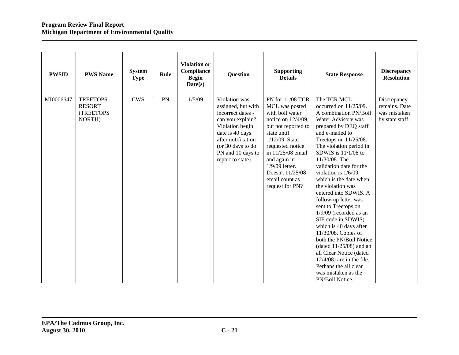| <b>PWSID</b> | <b>PWS Name</b>                                         | <b>System</b><br><b>Type</b> | Rule | <b>Violation or</b><br>Compliance<br><b>Begin</b><br>Date(s) | <b>Question</b>                                                                                                                                                                                         | <b>Supporting</b><br><b>Details</b>                                                                                                                                                                                                                                        | <b>State Response</b>                                                                                                                                                                                                                                                                                                                                                                                                                                                                                                                                                                                                                                                                              | <b>Discrepancy</b><br><b>Resolution</b>                         |
|--------------|---------------------------------------------------------|------------------------------|------|--------------------------------------------------------------|---------------------------------------------------------------------------------------------------------------------------------------------------------------------------------------------------------|----------------------------------------------------------------------------------------------------------------------------------------------------------------------------------------------------------------------------------------------------------------------------|----------------------------------------------------------------------------------------------------------------------------------------------------------------------------------------------------------------------------------------------------------------------------------------------------------------------------------------------------------------------------------------------------------------------------------------------------------------------------------------------------------------------------------------------------------------------------------------------------------------------------------------------------------------------------------------------------|-----------------------------------------------------------------|
| MI0006647    | <b>TREETOPS</b><br><b>RESORT</b><br>(TREETOPS<br>NORTH) | <b>CWS</b>                   | PN   | 1/5/09                                                       | Violation was<br>assigned, but with<br>incorrect dates -<br>can you explain?<br>Violation begin<br>date is 40 days<br>after notification<br>(or 30 days to do<br>PN and 10 days to<br>report to state). | PN for 11/08 TCR<br>MCL was posted<br>with boil water<br>notice on 12/4/09,<br>but not reported to<br>state until<br>$1/12/09$ . State<br>requested notice<br>in 11/25/08 email<br>and again in<br>1/9/09 letter.<br>Doesn't 11/25/08<br>email count as<br>request for PN? | The TCR MCL<br>occurred on 11/25/09.<br>A combination PN/Boil<br>Water Advisory was<br>prepared by DEQ staff<br>and e-mailed to<br>Treetops on 11/25/08.<br>The violation period in<br>SDWIS is $11/1/08$ to<br>11/30/08. The<br>validation date for the<br>violation is $1/6/09$<br>which is the date when<br>the violation was<br>entered into SDWIS. A<br>follow-up letter was<br>sent to Treetops on<br>$1/9/09$ (recorded as an<br>SIE code in SDWIS)<br>which is 40 days after<br>11/30/08. Copies of<br>both the PN/Boil Notice<br>(dated $11/25/08$ ) and an<br>all Clear Notice (dated<br>$12/4/08$ ) are in the file.<br>Perhaps the all clear<br>was mistaken as the<br>PN/Boil Notice. | Discrepancy<br>remains. Date<br>was mistaken<br>by state staff. |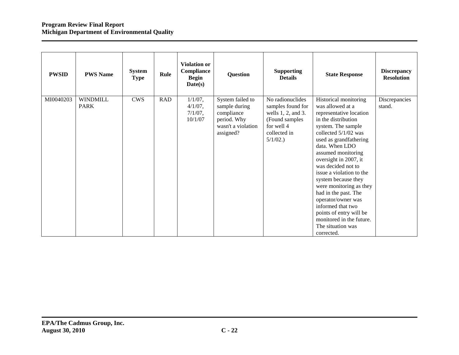| <b>PWSID</b> | <b>PWS Name</b>                | <b>System</b><br><b>Type</b> | Rule       | <b>Violation or</b><br>Compliance<br><b>Begin</b><br>Date(s) | Question                                                                                          | <b>Supporting</b><br><b>Details</b>                                                                                        | <b>State Response</b>                                                                                                                                                                                                                                                                                                                                                                                                                                                                                 | <b>Discrepancy</b><br><b>Resolution</b> |
|--------------|--------------------------------|------------------------------|------------|--------------------------------------------------------------|---------------------------------------------------------------------------------------------------|----------------------------------------------------------------------------------------------------------------------------|-------------------------------------------------------------------------------------------------------------------------------------------------------------------------------------------------------------------------------------------------------------------------------------------------------------------------------------------------------------------------------------------------------------------------------------------------------------------------------------------------------|-----------------------------------------|
| MI0040203    | <b>WINDMILL</b><br><b>PARK</b> | <b>CWS</b>                   | <b>RAD</b> | $1/1/07$ ,<br>$4/1/07$ ,<br>$7/1/07$ ,<br>10/1/07            | System failed to<br>sample during<br>compliance<br>period. Why<br>wasn't a violation<br>assigned? | No radionuclides<br>samples found for<br>wells 1, 2, and 3.<br>(Found samples)<br>for well 4<br>collected in<br>$5/1/02$ . | Historical monitoring<br>was allowed at a<br>representative location<br>in the distribution<br>system. The sample<br>collected 5/1/02 was<br>used as grandfathering<br>data. When LDO<br>assumed monitoring<br>oversight in 2007, it<br>was decided not to<br>issue a violation to the<br>system because they<br>were monitoring as they<br>had in the past. The<br>operator/owner was<br>informed that two<br>points of entry will be<br>monitored in the future.<br>The situation was<br>corrected. | Discrepancies<br>stand.                 |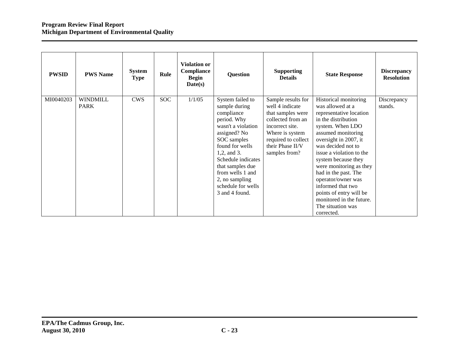| <b>PWSID</b> | <b>PWS Name</b>                | <b>System</b><br><b>Type</b> | Rule       | <b>Violation or</b><br>Compliance<br><b>Begin</b><br>Date(s) | <b>Question</b>                                                                                                                                                                                                                                                               | <b>Supporting</b><br><b>Details</b>                                                                                                                                               | <b>State Response</b>                                                                                                                                                                                                                                                                                                                                                                                                           | <b>Discrepancy</b><br><b>Resolution</b> |
|--------------|--------------------------------|------------------------------|------------|--------------------------------------------------------------|-------------------------------------------------------------------------------------------------------------------------------------------------------------------------------------------------------------------------------------------------------------------------------|-----------------------------------------------------------------------------------------------------------------------------------------------------------------------------------|---------------------------------------------------------------------------------------------------------------------------------------------------------------------------------------------------------------------------------------------------------------------------------------------------------------------------------------------------------------------------------------------------------------------------------|-----------------------------------------|
| MI0040203    | <b>WINDMILL</b><br><b>PARK</b> | <b>CWS</b>                   | <b>SOC</b> | 1/1/05                                                       | System failed to<br>sample during<br>compliance<br>period. Why<br>wasn't a violation<br>assigned? No<br>SOC samples<br>found for wells<br>1,2, and 3.<br>Schedule indicates<br>that samples due<br>from wells 1 and<br>2, no sampling<br>schedule for wells<br>3 and 4 found. | Sample results for<br>well 4 indicate<br>that samples were<br>collected from an<br>incorrect site.<br>Where is system<br>required to collect<br>their Phase II/V<br>samples from? | Historical monitoring<br>was allowed at a<br>representative location<br>in the distribution<br>system. When LDO<br>assumed monitoring<br>oversight in 2007, it<br>was decided not to<br>issue a violation to the<br>system because they<br>were monitoring as they<br>had in the past. The<br>operator/owner was<br>informed that two<br>points of entry will be<br>monitored in the future.<br>The situation was<br>corrected. | Discrepancy<br>stands.                  |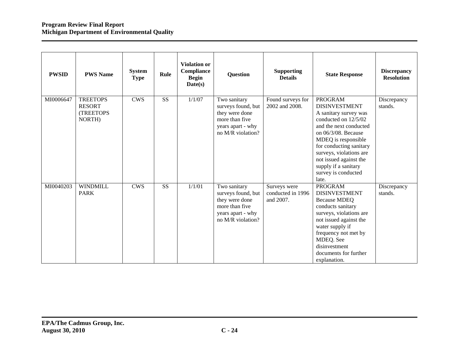| <b>PWSID</b> | <b>PWS Name</b>                                         | <b>System</b><br><b>Type</b> | Rule      | Violation or<br>Compliance<br><b>Begin</b><br>Date(s) | <b>Question</b>                                                                                                  | <b>Supporting</b><br><b>Details</b>            | <b>State Response</b>                                                                                                                                                                                                                                                                                   | <b>Discrepancy</b><br><b>Resolution</b> |
|--------------|---------------------------------------------------------|------------------------------|-----------|-------------------------------------------------------|------------------------------------------------------------------------------------------------------------------|------------------------------------------------|---------------------------------------------------------------------------------------------------------------------------------------------------------------------------------------------------------------------------------------------------------------------------------------------------------|-----------------------------------------|
| MI0006647    | <b>TREETOPS</b><br><b>RESORT</b><br>(TREETOPS<br>NORTH) | <b>CWS</b>                   | SS        | 1/1/07                                                | Two sanitary<br>surveys found, but<br>they were done<br>more than five<br>years apart - why<br>no M/R violation? | Found surveys for<br>2002 and 2008.            | <b>PROGRAM</b><br><b>DISINVESTMENT</b><br>A sanitary survey was<br>conducted on 12/5/02<br>and the next conducted<br>on 06/3/08. Because<br>MDEQ is responsible<br>for conducting sanitary<br>surveys, violations are<br>not issued against the<br>supply if a sanitary<br>survey is conducted<br>late. | Discrepancy<br>stands.                  |
| MI0040203    | <b>WINDMILL</b><br><b>PARK</b>                          | <b>CWS</b>                   | <b>SS</b> | 1/1/01                                                | Two sanitary<br>surveys found, but<br>they were done<br>more than five<br>years apart - why<br>no M/R violation? | Surveys were<br>conducted in 1996<br>and 2007. | <b>PROGRAM</b><br><b>DISINVESTMENT</b><br><b>Because MDEQ</b><br>conducts sanitary<br>surveys, violations are<br>not issued against the<br>water supply if<br>frequency not met by<br>MDEQ. See<br>disinvestment<br>documents for further<br>explanation.                                               | Discrepancy<br>stands.                  |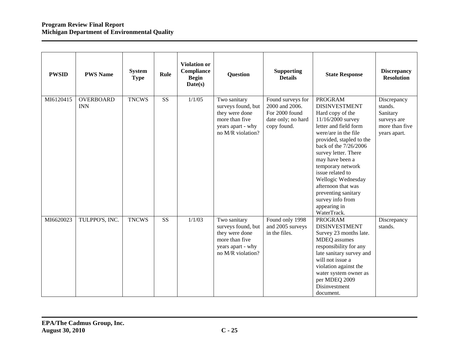| <b>PWSID</b> | <b>PWS Name</b>                | <b>System</b><br><b>Type</b> | Rule                   | <b>Violation or</b><br><b>Compliance</b><br><b>Begin</b><br>Date(s) | <b>Question</b>                                                                                                  | <b>Supporting</b><br><b>Details</b>                                                        | <b>State Response</b>                                                                                                                                                                                                                                                                                                                                                                           | <b>Discrepancy</b><br><b>Resolution</b>                                             |
|--------------|--------------------------------|------------------------------|------------------------|---------------------------------------------------------------------|------------------------------------------------------------------------------------------------------------------|--------------------------------------------------------------------------------------------|-------------------------------------------------------------------------------------------------------------------------------------------------------------------------------------------------------------------------------------------------------------------------------------------------------------------------------------------------------------------------------------------------|-------------------------------------------------------------------------------------|
| MI6120415    | <b>OVERBOARD</b><br><b>INN</b> | <b>TNCWS</b>                 | $\overline{\text{SS}}$ | 1/1/05                                                              | Two sanitary<br>surveys found, but<br>they were done<br>more than five<br>years apart - why<br>no M/R violation? | Found surveys for<br>2000 and 2006.<br>For 2000 found<br>date only; no hard<br>copy found. | <b>PROGRAM</b><br><b>DISINVESTMENT</b><br>Hard copy of the<br>11/16/2000 survey<br>letter and field form<br>were/are in the file<br>provided, stapled to the<br>back of the 7/26/2006<br>survey letter. There<br>may have been a<br>temporary network<br>issue related to<br>Wellogic Wednesday<br>afternoon that was<br>preventing sanitary<br>survey info from<br>appearing in<br>WaterTrack. | Discrepancy<br>stands.<br>Sanitary<br>surveys are<br>more than five<br>years apart. |
| MI6620023    | TULPPO'S, INC.                 | <b>TNCWS</b>                 | SS                     | 1/1/03                                                              | Two sanitary<br>surveys found, but<br>they were done<br>more than five<br>years apart - why<br>no M/R violation? | Found only 1998<br>and 2005 surveys<br>in the files.                                       | <b>PROGRAM</b><br><b>DISINVESTMENT</b><br>Survey 23 months late.<br>MDEQ assumes<br>responsibility for any<br>late sanitary survey and<br>will not issue a<br>violation against the<br>water system owner as<br>per MDEQ 2009<br>Disinvestment<br>document.                                                                                                                                     | Discrepancy<br>stands.                                                              |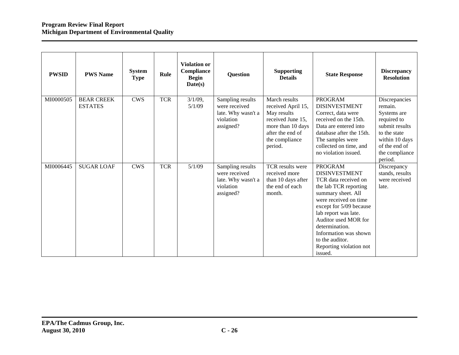| <b>PWSID</b> | <b>PWS Name</b>                     | <b>System</b><br><b>Type</b> | Rule       | <b>Violation or</b><br>Compliance<br><b>Begin</b><br>Date(s) | <b>Question</b>                                                                   | <b>Supporting</b><br><b>Details</b>                                                                                                           | <b>State Response</b>                                                                                                                                                                                                                                                                                                 | <b>Discrepancy</b><br><b>Resolution</b>                                                                                                                  |
|--------------|-------------------------------------|------------------------------|------------|--------------------------------------------------------------|-----------------------------------------------------------------------------------|-----------------------------------------------------------------------------------------------------------------------------------------------|-----------------------------------------------------------------------------------------------------------------------------------------------------------------------------------------------------------------------------------------------------------------------------------------------------------------------|----------------------------------------------------------------------------------------------------------------------------------------------------------|
| MI0000505    | <b>BEAR CREEK</b><br><b>ESTATES</b> | <b>CWS</b>                   | <b>TCR</b> | $3/1/09$ ,<br>5/1/09                                         | Sampling results<br>were received<br>late. Why wasn't a<br>violation<br>assigned? | March results<br>received April 15,<br>May results<br>received June 15,<br>more than 10 days<br>after the end of<br>the compliance<br>period. | <b>PROGRAM</b><br><b>DISINVESTMENT</b><br>Correct, data were<br>received on the 15th.<br>Data are entered into<br>database after the 15th.<br>The samples were<br>collected on time, and<br>no violation issued.                                                                                                      | Discrepancies<br>remain.<br>Systems are<br>required to<br>submit results<br>to the state<br>within 10 days<br>of the end of<br>the compliance<br>period. |
| MI0006445    | <b>SUGAR LOAF</b>                   | <b>CWS</b>                   | <b>TCR</b> | 5/1/09                                                       | Sampling results<br>were received<br>late. Why wasn't a<br>violation<br>assigned? | TCR results were<br>received more<br>than 10 days after<br>the end of each<br>month.                                                          | <b>PROGRAM</b><br><b>DISINVESTMENT</b><br>TCR data received on<br>the lab TCR reporting<br>summary sheet. All<br>were received on time<br>except for 5/09 because<br>lab report was late.<br>Auditor used MOR for<br>determination.<br>Information was shown<br>to the auditor.<br>Reporting violation not<br>issued. | Discrepancy<br>stands, results<br>were received<br>late.                                                                                                 |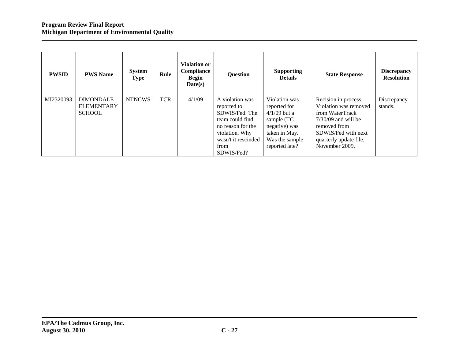| <b>PWSID</b> | <b>PWS Name</b>   | System<br><b>Type</b> | Rule       | <b>Violation or</b><br>Compliance<br><b>Begin</b><br>Date(s) | <b>Question</b>     | <b>Supporting</b><br><b>Details</b> | <b>State Response</b>  | <b>Discrepancy</b><br><b>Resolution</b> |
|--------------|-------------------|-----------------------|------------|--------------------------------------------------------------|---------------------|-------------------------------------|------------------------|-----------------------------------------|
| MI2320093    | <b>DIMONDALE</b>  | <b>NTNCWS</b>         | <b>TCR</b> | 4/1/09                                                       | A violation was     | Violation was                       | Recision in process.   | Discrepancy                             |
|              | <b>ELEMENTARY</b> |                       |            |                                                              | reported to         | reported for                        | Violation was removed  | stands.                                 |
|              | <b>SCHOOL</b>     |                       |            |                                                              | SDWIS/Fed. The      | $4/1/09$ but a                      | from WaterTrack        |                                         |
|              |                   |                       |            |                                                              | team could find     | sample (TC                          | $7/30/09$ and will be  |                                         |
|              |                   |                       |            |                                                              | no reason for the   | negative) was                       | removed from           |                                         |
|              |                   |                       |            |                                                              | violation. Why      | taken in May.                       | SDWIS/Fed with next    |                                         |
|              |                   |                       |            |                                                              | wasn't it rescinded | Was the sample                      | quarterly update file, |                                         |
|              |                   |                       |            |                                                              | from                | reported late?                      | November 2009.         |                                         |
|              |                   |                       |            |                                                              | SDWIS/Fed?          |                                     |                        |                                         |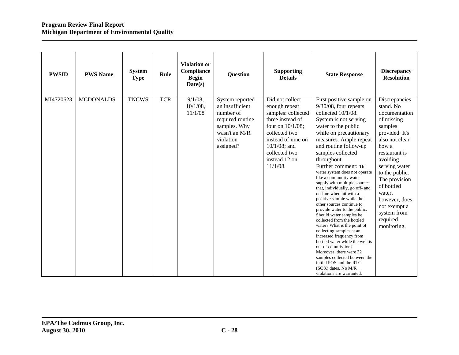| <b>PWSID</b> | <b>PWS Name</b>  | <b>System</b><br><b>Type</b> | Rule       | <b>Violation or</b><br>Compliance<br><b>Begin</b><br>Date(s) | <b>Question</b>                                                                                                                | <b>Supporting</b><br><b>Details</b>                                                                                                                                                                          | <b>State Response</b>                                                                                                                                                                                                                                                                                                                                                                                                                                                                                                                                                                                                                                                                                                                                                                                                                                                       | <b>Discrepancy</b><br><b>Resolution</b>                                                                                                                                                                                                                                                               |
|--------------|------------------|------------------------------|------------|--------------------------------------------------------------|--------------------------------------------------------------------------------------------------------------------------------|--------------------------------------------------------------------------------------------------------------------------------------------------------------------------------------------------------------|-----------------------------------------------------------------------------------------------------------------------------------------------------------------------------------------------------------------------------------------------------------------------------------------------------------------------------------------------------------------------------------------------------------------------------------------------------------------------------------------------------------------------------------------------------------------------------------------------------------------------------------------------------------------------------------------------------------------------------------------------------------------------------------------------------------------------------------------------------------------------------|-------------------------------------------------------------------------------------------------------------------------------------------------------------------------------------------------------------------------------------------------------------------------------------------------------|
| MI4720623    | <b>MCDONALDS</b> | <b>TNCWS</b>                 | <b>TCR</b> | $9/1/08$ ,<br>$10/1/08$ ,<br>11/1/08                         | System reported<br>an insufficient<br>number of<br>required routine<br>samples. Why<br>wasn't an M/R<br>violation<br>assigned? | Did not collect<br>enough repeat<br>samples: collected<br>three instead of<br>four on $10/1/08$ ;<br>collected two<br>instead of nine on<br>$10/1/08$ ; and<br>collected two<br>instead 12 on<br>$11/1/08$ . | First positive sample on<br>$9/30/08$ , four repeats<br>collected 10/1/08.<br>System is not serving<br>water to the public<br>while on precautionary<br>measures. Ample repeat<br>and routine follow-up<br>samples collected<br>throughout.<br>Further comment: This<br>water system does not operate<br>like a community water<br>supply with multiple sources<br>that, individually, go off- and<br>on-line when hit with a<br>positive sample while the<br>other sources continue to<br>provide water to the public.<br>Should water samples be<br>collected from the bottled<br>water? What is the point of<br>collecting samples at an<br>increased frequency from<br>bottled water while the well is<br>out of commission?<br>Moreover, there were 32<br>samples collected between the<br>initial POS and the RTC<br>(SOX) dates. No M/R<br>violations are warranted. | Discrepancies<br>stand. No<br>documentation<br>of missing<br>samples<br>provided. It's<br>also not clear<br>how a<br>restaurant is<br>avoiding<br>serving water<br>to the public.<br>The provision<br>of bottled<br>water,<br>however, does<br>not exempt a<br>system from<br>required<br>monitoring. |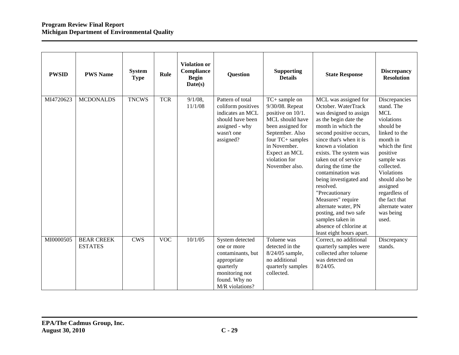| <b>PWSID</b> | <b>PWS Name</b>                     | <b>System</b><br><b>Type</b> | Rule       | <b>Violation or</b><br><b>Compliance</b><br><b>Begin</b><br>Date(s) | <b>Question</b>                                                                                                                       | <b>Supporting</b><br><b>Details</b>                                                                                                                                                                      | <b>State Response</b>                                                                                                                                                                                                                                                                                                                                                                                                                                                                                 | <b>Discrepancy</b><br><b>Resolution</b>                                                                                                                                                                                                                                             |
|--------------|-------------------------------------|------------------------------|------------|---------------------------------------------------------------------|---------------------------------------------------------------------------------------------------------------------------------------|----------------------------------------------------------------------------------------------------------------------------------------------------------------------------------------------------------|-------------------------------------------------------------------------------------------------------------------------------------------------------------------------------------------------------------------------------------------------------------------------------------------------------------------------------------------------------------------------------------------------------------------------------------------------------------------------------------------------------|-------------------------------------------------------------------------------------------------------------------------------------------------------------------------------------------------------------------------------------------------------------------------------------|
| MI4720623    | <b>MCDONALDS</b>                    | <b>TNCWS</b>                 | <b>TCR</b> | $9/1/08$ ,<br>11/1/08                                               | Pattern of total<br>coliform positives<br>indicates an MCL<br>should have been<br>assigned - why<br>wasn't one<br>assigned?           | TC+ sample on<br>9/30/08. Repeat<br>positive on 10/1.<br>MCL should have<br>been assigned for<br>September. Also<br>four TC+ samples<br>in November.<br>Expect an MCL<br>violation for<br>November also. | MCL was assigned for<br>October. WaterTrack<br>was designed to assign<br>as the begin date the<br>month in which the<br>second positive occurs,<br>since that's when it is<br>known a violation<br>exists. The system was<br>taken out of service<br>during the time the<br>contamination was<br>being investigated and<br>resolved.<br>"Precautionary<br>Measures" require<br>alternate water, PN<br>posting, and two safe<br>samples taken in<br>absence of chlorine at<br>least eight hours apart. | Discrepancies<br>stand. The<br><b>MCL</b><br>violations<br>should be<br>linked to the<br>month in<br>which the first<br>positive<br>sample was<br>collected.<br>Violations<br>should also be<br>assigned<br>regardless of<br>the fact that<br>alternate water<br>was being<br>used. |
| MI0000505    | <b>BEAR CREEK</b><br><b>ESTATES</b> | <b>CWS</b>                   | <b>VOC</b> | 10/1/05                                                             | System detected<br>one or more<br>contaminants, but<br>appropriate<br>quarterly<br>monitoring not<br>found. Why no<br>M/R violations? | Toluene was<br>detected in the<br>$8/24/05$ sample,<br>no additional<br>quarterly samples<br>collected.                                                                                                  | Correct, no additional<br>quarterly samples were<br>collected after toluene<br>was detected on<br>$8/24/05$ .                                                                                                                                                                                                                                                                                                                                                                                         | Discrepancy<br>stands.                                                                                                                                                                                                                                                              |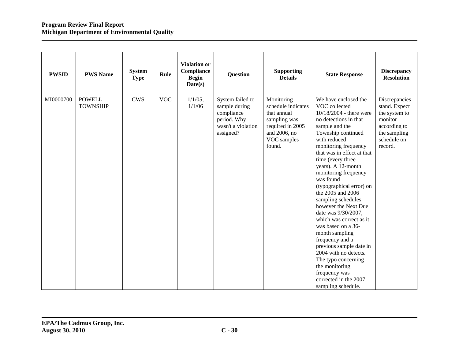| <b>PWSID</b> | <b>PWS Name</b>                  | <b>System</b><br><b>Type</b> | Rule       | <b>Violation or</b><br>Compliance<br><b>Begin</b><br>Date(s) | <b>Question</b>                                                                                   | <b>Supporting</b><br><b>Details</b>                                                                                          | <b>State Response</b>                                                                                                                                                                                                                                                                                                                                                                                                                                                                                                                                                                                                                                            | <b>Discrepancy</b><br><b>Resolution</b>                                                                              |
|--------------|----------------------------------|------------------------------|------------|--------------------------------------------------------------|---------------------------------------------------------------------------------------------------|------------------------------------------------------------------------------------------------------------------------------|------------------------------------------------------------------------------------------------------------------------------------------------------------------------------------------------------------------------------------------------------------------------------------------------------------------------------------------------------------------------------------------------------------------------------------------------------------------------------------------------------------------------------------------------------------------------------------------------------------------------------------------------------------------|----------------------------------------------------------------------------------------------------------------------|
| MI0000700    | <b>POWELL</b><br><b>TOWNSHIP</b> | <b>CWS</b>                   | <b>VOC</b> | $1/1/05$ ,<br>1/1/06                                         | System failed to<br>sample during<br>compliance<br>period. Why<br>wasn't a violation<br>assigned? | Monitoring<br>schedule indicates<br>that annual<br>sampling was<br>required in 2005<br>and 2006, no<br>VOC samples<br>found. | We have enclosed the<br>VOC collected<br>10/18/2004 - there were<br>no detections in that<br>sample and the<br>Township continued<br>with reduced<br>monitoring frequency<br>that was in effect at that<br>time (every three<br>years). A 12-month<br>monitoring frequency<br>was found<br>(typographical error) on<br>the 2005 and 2006<br>sampling schedules<br>however the Next Due<br>date was 9/30/2007,<br>which was correct as it<br>was based on a 36-<br>month sampling<br>frequency and a<br>previous sample date in<br>2004 with no detects.<br>The typo concerning<br>the monitoring<br>frequency was<br>corrected in the 2007<br>sampling schedule. | Discrepancies<br>stand. Expect<br>the system to<br>monitor<br>according to<br>the sampling<br>schedule on<br>record. |